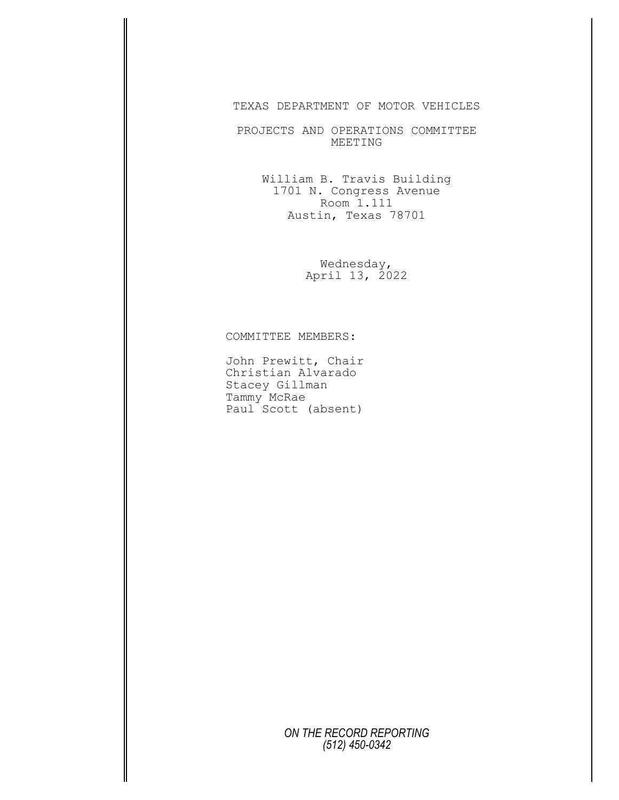## TEXAS DEPARTMENT OF MOTOR VEHICLES

PROJECTS AND OPERATIONS COMMITTEE MEETING

> William B. Travis Building 1701 N. Congress Avenue Room 1.111 Austin, Texas 78701

> > Wednesday, April 13, 2022

COMMITTEE MEMBERS:

John Prewitt, Chair Christian Alvarado Stacey Gillman Tammy McRae Paul Scott (absent)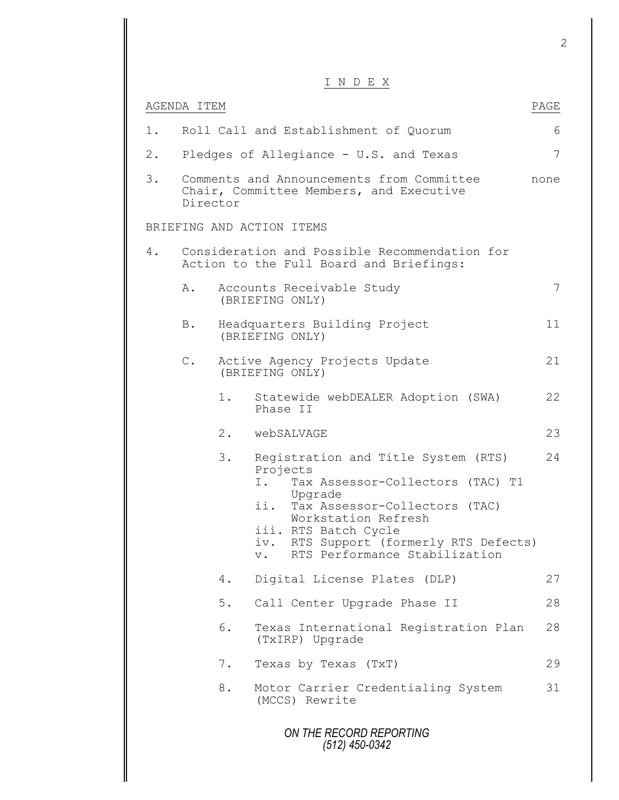## I N D E X

|       |               |       | I N D E X                                                                                                                                                                                                                                                                       |      |
|-------|---------------|-------|---------------------------------------------------------------------------------------------------------------------------------------------------------------------------------------------------------------------------------------------------------------------------------|------|
|       | AGENDA ITEM   |       |                                                                                                                                                                                                                                                                                 | PAGE |
| 1.    |               |       | Roll Call and Establishment of Quorum                                                                                                                                                                                                                                           | 6    |
| $2$ . |               |       | Pledges of Allegiance - U.S. and Texas                                                                                                                                                                                                                                          | 7    |
| 3.    | Director      |       | Comments and Announcements from Committee<br>Chair, Committee Members, and Executive                                                                                                                                                                                            | none |
|       |               |       | BRIEFING AND ACTION ITEMS                                                                                                                                                                                                                                                       |      |
| 4.    |               |       | Consideration and Possible Recommendation for<br>Action to the Full Board and Briefings:                                                                                                                                                                                        |      |
|       | Α.            |       | Accounts Receivable Study<br>(BRIEFING ONLY)                                                                                                                                                                                                                                    | 7    |
|       | <b>B</b> .    |       | Headquarters Building Project<br>(BRIEFING ONLY)                                                                                                                                                                                                                                | 11   |
|       | $\mathbb C$ . |       | Active Agency Projects Update<br>(BRIEFING ONLY)                                                                                                                                                                                                                                | 21   |
|       |               | 1.    | Statewide webDEALER Adoption (SWA)<br>Phase II                                                                                                                                                                                                                                  | 22   |
|       |               |       | 2. webSALVAGE                                                                                                                                                                                                                                                                   | 23   |
|       |               | 3.    | Registration and Title System (RTS)<br>Projects<br>Ι.<br>Tax Assessor-Collectors (TAC) T1<br>Upgrade<br>ii.<br>Tax Assessor-Collectors (TAC)<br>Workstation Refresh<br>iii. RTS Batch Cycle<br>RTS Support (formerly RTS Defects)<br>iv.<br>RTS Performance Stabilization<br>V. | 24   |
|       |               | 4.    | Digital License Plates (DLP)                                                                                                                                                                                                                                                    | 27   |
|       |               | $5$ . | Call Center Upgrade Phase II                                                                                                                                                                                                                                                    | 28   |
|       |               | 6.    | Texas International Registration Plan<br>(TxIRP) Upgrade                                                                                                                                                                                                                        | 28   |
|       |               | $7$ . | Texas by Texas (TxT)                                                                                                                                                                                                                                                            | 29   |
|       |               | 8.    | Motor Carrier Credentialing System<br>(MCCS) Rewrite                                                                                                                                                                                                                            | 31   |
|       |               |       | ON THE RECORD REPORTING<br>(512) 450-0342                                                                                                                                                                                                                                       |      |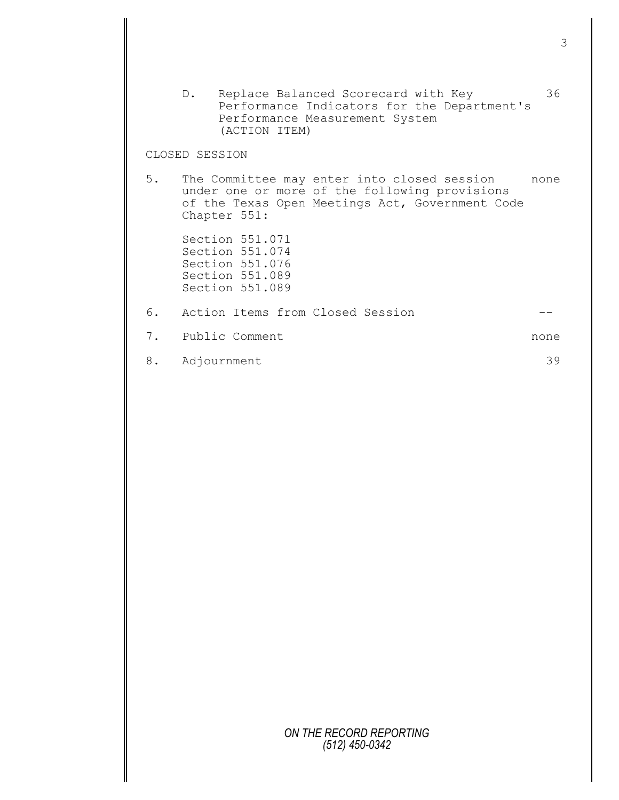|    | Replace Balanced Scorecard with Key<br>$D_{\bullet}$<br>Performance Indicators for the Department's<br>Performance Measurement System<br>(ACTION ITEM)             | 36   |
|----|--------------------------------------------------------------------------------------------------------------------------------------------------------------------|------|
|    | CLOSED SESSION                                                                                                                                                     |      |
|    | 5. The Committee may enter into closed session<br>under one or more of the following provisions<br>of the Texas Open Meetings Act, Government Code<br>Chapter 551: | none |
|    | Section 551.071<br>Section 551.074<br>Section 551.076<br>Section 551.089<br>Section 551.089                                                                        |      |
|    | 6. Action Items from Closed Session                                                                                                                                |      |
|    | 7. Public Comment                                                                                                                                                  | none |
| 8. | Adjournment                                                                                                                                                        | 39   |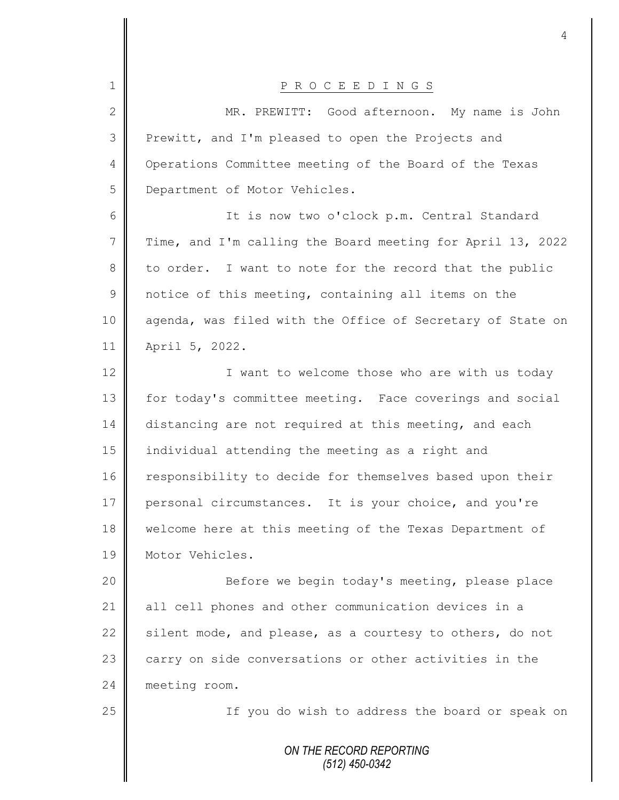| $\mathbf 1$    | P R O C E E D I N G S                                      |
|----------------|------------------------------------------------------------|
| $\mathbf{2}$   | MR. PREWITT: Good afternoon. My name is John               |
| 3              | Prewitt, and I'm pleased to open the Projects and          |
| $\overline{4}$ | Operations Committee meeting of the Board of the Texas     |
| 5              | Department of Motor Vehicles.                              |
| 6              | It is now two o'clock p.m. Central Standard                |
| 7              | Time, and I'm calling the Board meeting for April 13, 2022 |
| 8              | to order. I want to note for the record that the public    |
| $\mathcal{G}$  | notice of this meeting, containing all items on the        |
| 10             | agenda, was filed with the Office of Secretary of State on |
| 11             | April 5, 2022.                                             |
| 12             | I want to welcome those who are with us today              |
| 13             | for today's committee meeting. Face coverings and social   |
| 14             | distancing are not required at this meeting, and each      |
| 15             | individual attending the meeting as a right and            |
| 16             | responsibility to decide for themselves based upon their   |
| 17             | personal circumstances. It is your choice, and you're      |
| 18             | welcome here at this meeting of the Texas Department of    |
| 19             | Motor Vehicles.                                            |
| 20             | Before we begin today's meeting, please place              |
| 21             | all cell phones and other communication devices in a       |
| 22             | silent mode, and please, as a courtesy to others, do not   |
| 23             | carry on side conversations or other activities in the     |
| 24             | meeting room.                                              |
| 25             | If you do wish to address the board or speak on            |
|                | ON THE RECORD REPORTING<br>$(512)$ 450-0342                |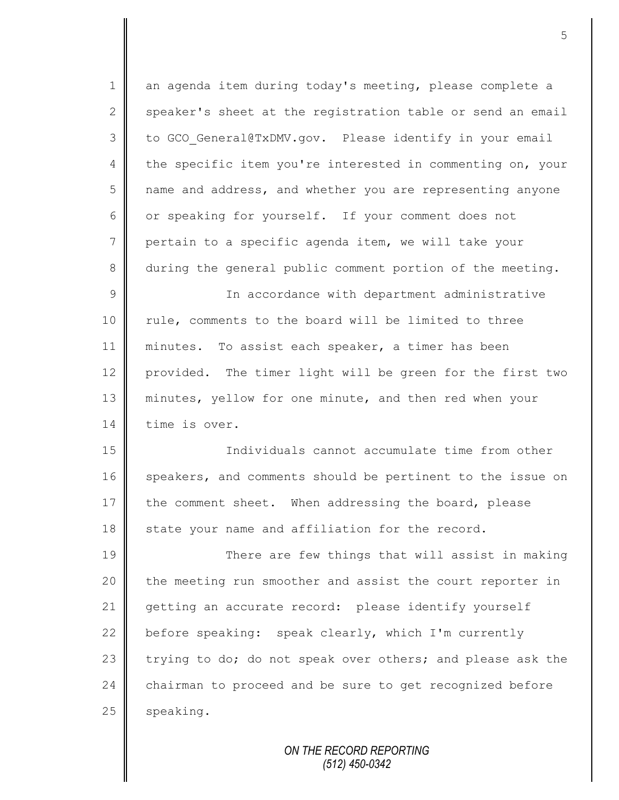1 an agenda item during today's meeting, please complete a  $2 \parallel$  speaker's sheet at the registration table or send an email 3 to GCO General@TxDMV.gov. Please identify in your email 4 the specific item you're interested in commenting on, your 5 | name and address, and whether you are representing anyone 6 or speaking for yourself. If your comment does not 7 pertain to a specific agenda item, we will take your 8 during the general public comment portion of the meeting. 9 || In accordance with department administrative 10 || rule, comments to the board will be limited to three 11 || minutes. To assist each speaker, a timer has been 12 provided. The timer light will be green for the first two 13 minutes, yellow for one minute, and then red when your 14 time is over. 15 Individuals cannot accumulate time from other 16 speakers, and comments should be pertinent to the issue on 17 the comment sheet. When addressing the board, please 18 state your name and affiliation for the record. 19 There are few things that will assist in making 20 the meeting run smoother and assist the court reporter in 21 getting an accurate record: please identify yourself 22 before speaking: speak clearly, which I'm currently 23 trying to do; do not speak over others; and please ask the 24 chairman to proceed and be sure to get recognized before 25 speaking.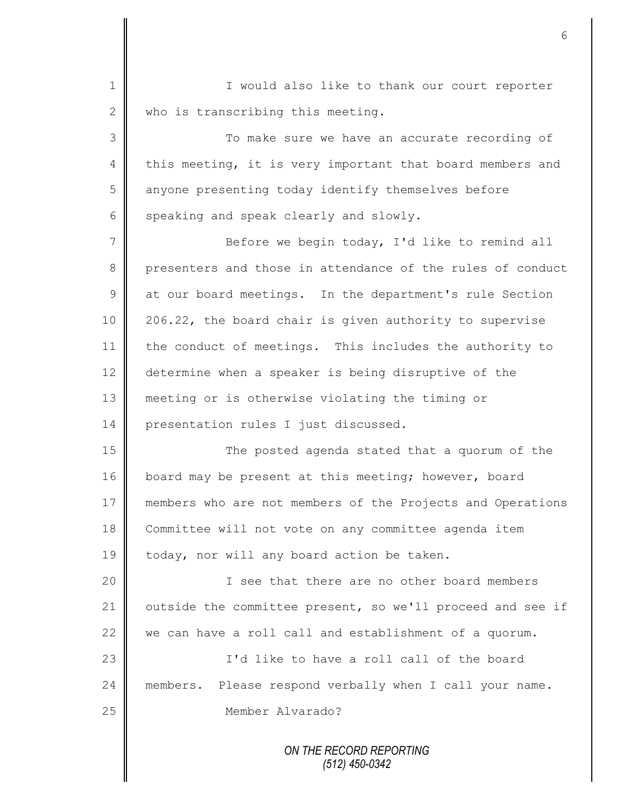1 || I would also like to thank our court reporter 2 who is transcribing this meeting.

3 To make sure we have an accurate recording of 4 this meeting, it is very important that board members and 5 | anyone presenting today identify themselves before  $6 \parallel$  speaking and speak clearly and slowly.

7 || Before we begin today, I'd like to remind all 8 presenters and those in attendance of the rules of conduct 9 at our board meetings. In the department's rule Section 10 206.22, the board chair is given authority to supervise 11 the conduct of meetings. This includes the authority to 12 determine when a speaker is being disruptive of the 13 meeting or is otherwise violating the timing or 14 | presentation rules I just discussed.

15 || The posted agenda stated that a quorum of the 16 board may be present at this meeting; however, board 17 members who are not members of the Projects and Operations 18 Committee will not vote on any committee agenda item 19 | today, nor will any board action be taken.

20 || I see that there are no other board members 21 | outside the committee present, so we'll proceed and see if 22  $\parallel$  we can have a roll call and establishment of a quorum.

23 || I'd like to have a roll call of the board 24 members. Please respond verbally when I call your name. 25 || Member Alvarado?

> *ON THE RECORD REPORTING (512) 450-0342*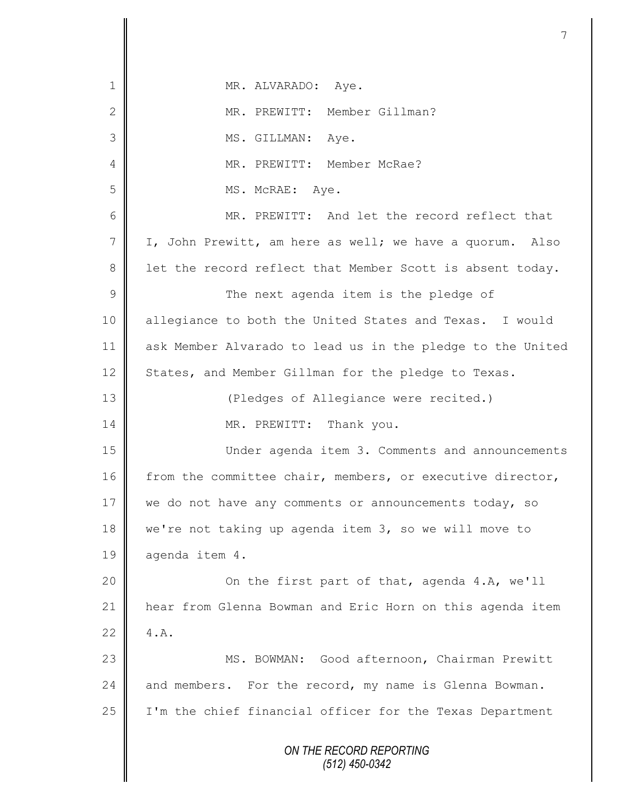| 1              | MR. ALVARADO: Aye.                                         |
|----------------|------------------------------------------------------------|
| $\mathbf{2}$   | MR. PREWITT: Member Gillman?                               |
| $\mathfrak{Z}$ | MS. GILLMAN: Aye.                                          |
| 4              | MR. PREWITT: Member McRae?                                 |
| 5              | MS. McRAE: Aye.                                            |
| 6              | MR. PREWITT: And let the record reflect that               |
| 7              | I, John Prewitt, am here as well; we have a quorum. Also   |
| $8\,$          | let the record reflect that Member Scott is absent today.  |
| $\mathcal{G}$  | The next agenda item is the pledge of                      |
| 10             | allegiance to both the United States and Texas. I would    |
| 11             | ask Member Alvarado to lead us in the pledge to the United |
| 12             | States, and Member Gillman for the pledge to Texas.        |
| 13             | (Pledges of Allegiance were recited.)                      |
| 14             | MR. PREWITT: Thank you.                                    |
| 15             | Under agenda item 3. Comments and announcements            |
| 16             | from the committee chair, members, or executive director,  |
| 17             | we do not have any comments or announcements today, so     |
| 18             | we're not taking up agenda item 3, so we will move to      |
| 19             | agenda item 4.                                             |
| 20             | On the first part of that, agenda 4.A, we'll               |
| 21             | hear from Glenna Bowman and Eric Horn on this agenda item  |
| 22             | 4.A.                                                       |
| 23             | MS. BOWMAN: Good afternoon, Chairman Prewitt               |
| 24             | and members. For the record, my name is Glenna Bowman.     |
| 25             | I'm the chief financial officer for the Texas Department   |
|                |                                                            |
|                | ON THE RECORD REPORTING<br>$(512)$ 450-0342                |
|                |                                                            |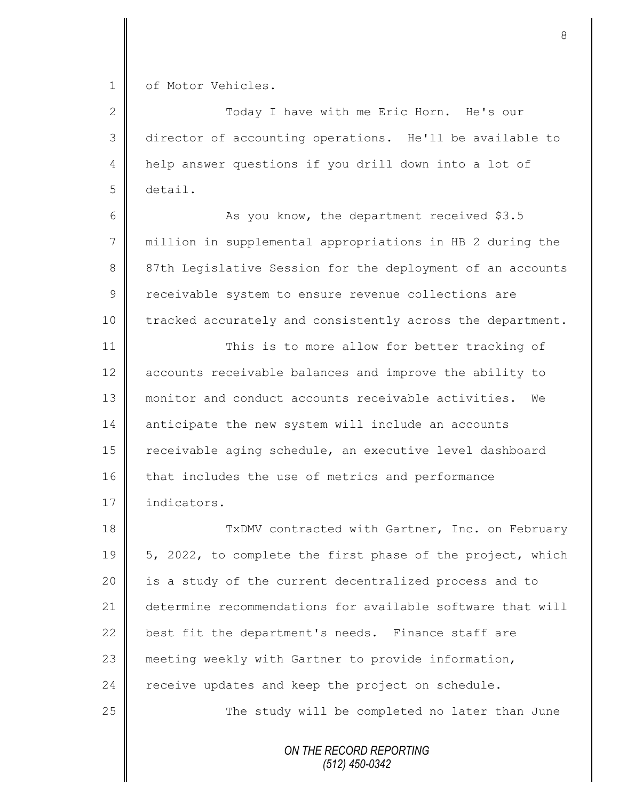1 | of Motor Vehicles.

 Today I have with me Eric Horn. He's our director of accounting operations. He'll be available to help answer questions if you drill down into a lot of 5 detail.

6 As you know, the department received \$3.5 7 million in supplemental appropriations in HB 2 during the 8 87th Legislative Session for the deployment of an accounts 9 | receivable system to ensure revenue collections are 10 tracked accurately and consistently across the department.

11 This is to more allow for better tracking of 12 accounts receivable balances and improve the ability to 13 monitor and conduct accounts receivable activities. We 14 anticipate the new system will include an accounts 15 | receivable aging schedule, an executive level dashboard 16 that includes the use of metrics and performance 17 indicators.

18 TxDMV contracted with Gartner, Inc. on February 19 | 5, 2022, to complete the first phase of the project, which 20 **is a study of the current decentralized process and to** 21 determine recommendations for available software that will 22 best fit the department's needs. Finance staff are 23 meeting weekly with Gartner to provide information,  $24$  receive updates and keep the project on schedule. 25 || The study will be completed no later than June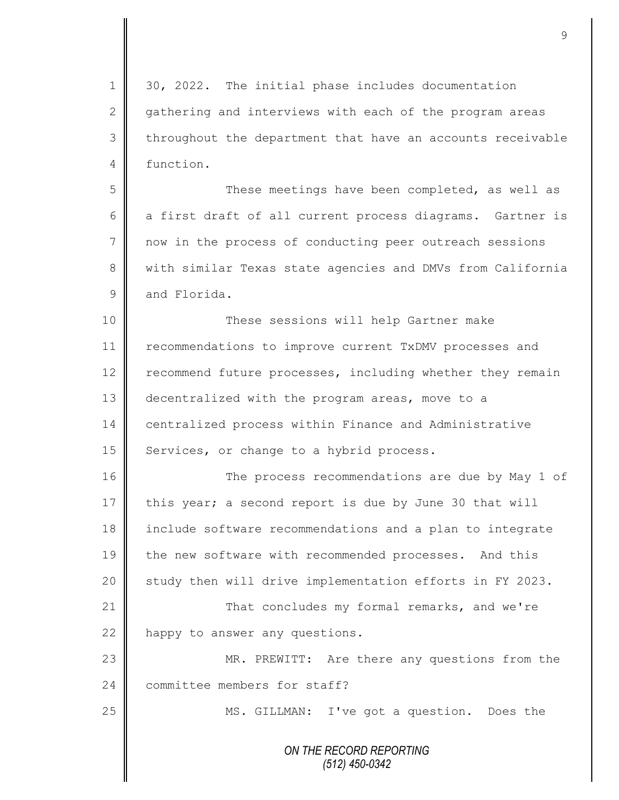*ON THE RECORD REPORTING (512) 450-0342* 1 30, 2022. The initial phase includes documentation 2 gathering and interviews with each of the program areas 3 | throughout the department that have an accounts receivable 4 function. 5 || These meetings have been completed, as well as 6 a first draft of all current process diagrams. Gartner is 7 now in the process of conducting peer outreach sessions 8 We with similar Texas state agencies and DMVs from California  $9 \parallel$  and Florida. 10 These sessions will help Gartner make 11 **F** recommendations to improve current TxDMV processes and 12 recommend future processes, including whether they remain 13 decentralized with the program areas, move to a 14 centralized process within Finance and Administrative 15 | Services, or change to a hybrid process. 16 The process recommendations are due by May 1 of 17 this year; a second report is due by June 30 that will 18 include software recommendations and a plan to integrate 19 the new software with recommended processes. And this 20 | study then will drive implementation efforts in FY 2023. 21 That concludes my formal remarks, and we're 22 happy to answer any questions. 23 MR. PREWITT: Are there any questions from the 24 committee members for staff? 25 | MS. GILLMAN: I've got a question. Does the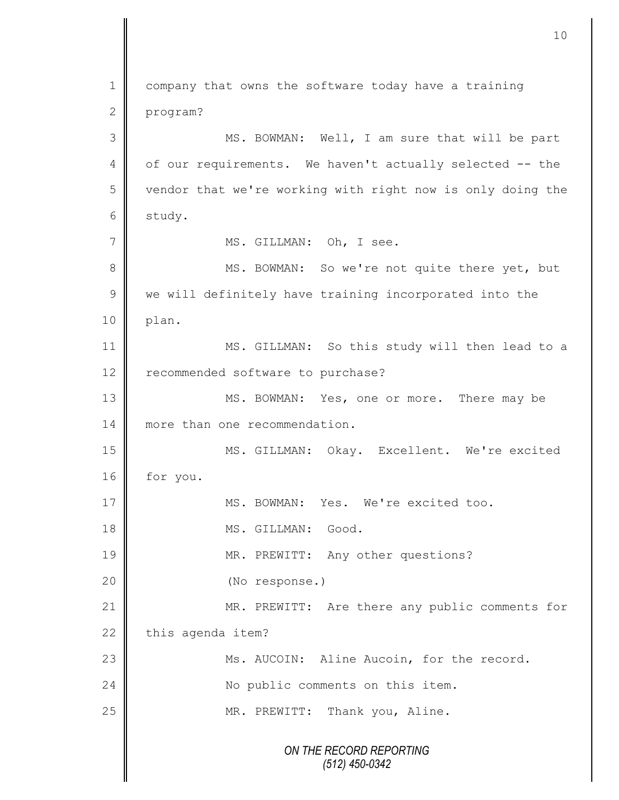*ON THE RECORD REPORTING (512) 450-0342* 1 company that owns the software today have a training 2 program? 3 || MS. BOWMAN: Well, I am sure that will be part 4 | of our requirements. We haven't actually selected -- the 5 | vendor that we're working with right now is only doing the 6 study. 7 | MS. GILLMAN: Oh, I see. 8 || MS. BOWMAN: So we're not quite there yet, but  $9 \parallel$  we will definitely have training incorporated into the 10 | plan. 11 MS. GILLMAN: So this study will then lead to a 12 recommended software to purchase? 13 MS. BOWMAN: Yes, one or more. There may be 14 more than one recommendation. 15 MS. GILLMAN: Okay. Excellent. We're excited 16 | for you. 17 MS. BOWMAN: Yes. We're excited too. 18 || MS. GILLMAN: Good. 19 || MR. PREWITT: Any other questions? 20 (No response.) 21 | MR. PREWITT: Are there any public comments for  $22$  this agenda item? 23 || Ms. AUCOIN: Aline Aucoin, for the record. 24 | No public comments on this item. 25 || MR. PREWITT: Thank you, Aline.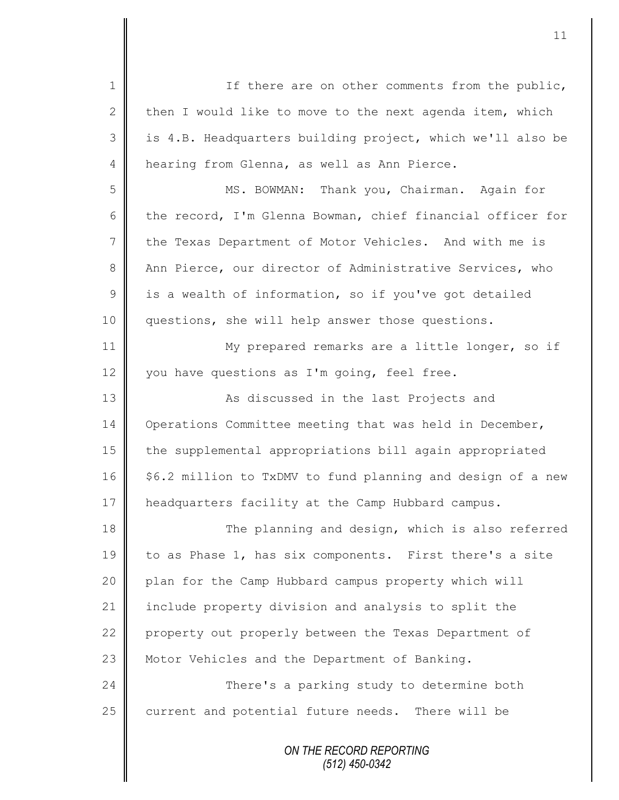| $\mathbf 1$     | If there are on other comments from the public,             |
|-----------------|-------------------------------------------------------------|
| $\mathbf{2}$    | then I would like to move to the next agenda item, which    |
| 3               | is 4.B. Headquarters building project, which we'll also be  |
| $\overline{4}$  | hearing from Glenna, as well as Ann Pierce.                 |
| 5               | MS. BOWMAN: Thank you, Chairman. Again for                  |
| 6               | the record, I'm Glenna Bowman, chief financial officer for  |
| $7\phantom{.0}$ | the Texas Department of Motor Vehicles. And with me is      |
| $\,8\,$         | Ann Pierce, our director of Administrative Services, who    |
| $\mathcal{G}$   | is a wealth of information, so if you've got detailed       |
| 10              | questions, she will help answer those questions.            |
| 11              | My prepared remarks are a little longer, so if              |
| 12              | you have questions as I'm going, feel free.                 |
| 13              | As discussed in the last Projects and                       |
| 14              | Operations Committee meeting that was held in December,     |
| 15              | the supplemental appropriations bill again appropriated     |
| 16              | \$6.2 million to TxDMV to fund planning and design of a new |
| 17              | headquarters facility at the Camp Hubbard campus.           |
| 18              | The planning and design, which is also referred             |
| 19              | to as Phase 1, has six components. First there's a site     |
| 20              | plan for the Camp Hubbard campus property which will        |
| 21              | include property division and analysis to split the         |
| 22              | property out properly between the Texas Department of       |
| 23              | Motor Vehicles and the Department of Banking.               |
| 24              | There's a parking study to determine both                   |
| 25              | current and potential future needs. There will be           |
|                 | ON THE RECORD REPORTING                                     |

*(512) 450-0342*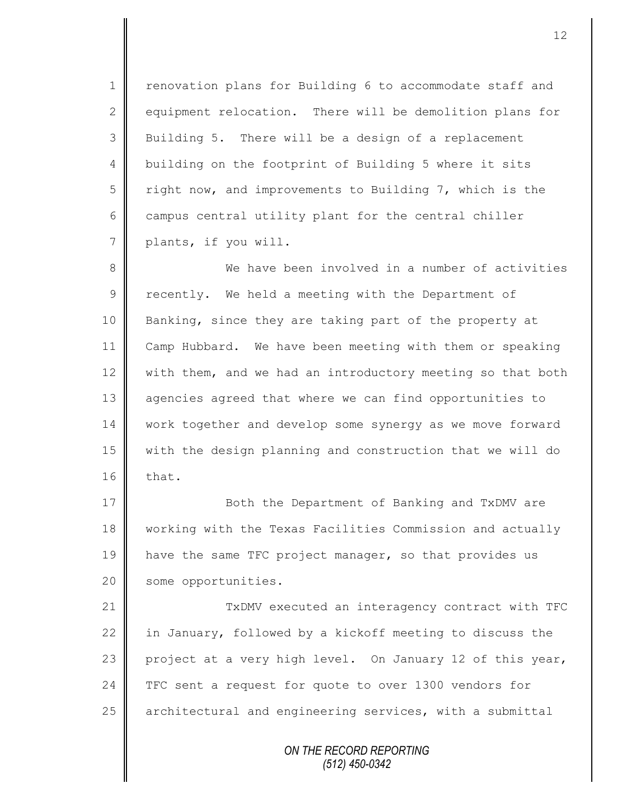1 | renovation plans for Building 6 to accommodate staff and 2 equipment relocation. There will be demolition plans for 3 Building 5. There will be a design of a replacement 4 building on the footprint of Building 5 where it sits  $5 \parallel$  right now, and improvements to Building 7, which is the  $6 \parallel$  campus central utility plant for the central chiller 7 | plants, if you will.

8 We have been involved in a number of activities  $9 \parallel$  recently. We held a meeting with the Department of 10 Banking, since they are taking part of the property at 11 Camp Hubbard. We have been meeting with them or speaking 12 with them, and we had an introductory meeting so that both 13 agencies agreed that where we can find opportunities to 14 work together and develop some synergy as we move forward 15 with the design planning and construction that we will do  $16$  | that.

17 **Both the Department of Banking and TxDMV are** 18 | working with the Texas Facilities Commission and actually 19 have the same TFC project manager, so that provides us 20 | some opportunities.

21 TxDMV executed an interagency contract with TFC 22 in January, followed by a kickoff meeting to discuss the 23 project at a very high level. On January 12 of this year, 24 TFC sent a request for quote to over 1300 vendors for  $25$  architectural and engineering services, with a submittal

> *ON THE RECORD REPORTING (512) 450-0342*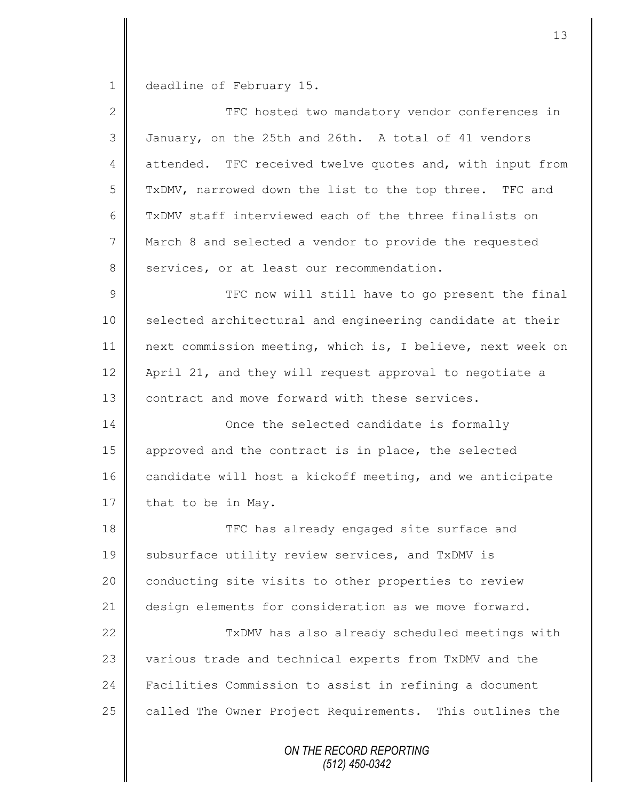1 deadline of February 15.

| $\mathbf{2}$   | TFC hosted two mandatory vendor conferences in             |
|----------------|------------------------------------------------------------|
| 3              | January, on the 25th and 26th. A total of 41 vendors       |
| 4              | attended. TFC received twelve quotes and, with input from  |
| 5              | TxDMV, narrowed down the list to the top three. TFC and    |
| 6              | TXDMV staff interviewed each of the three finalists on     |
| $7\phantom{.}$ | March 8 and selected a vendor to provide the requested     |
| 8              | services, or at least our recommendation.                  |
| $\mathcal{G}$  | TFC now will still have to go present the final            |
| 10             | selected architectural and engineering candidate at their  |
| 11             | next commission meeting, which is, I believe, next week on |
| 12             | April 21, and they will request approval to negotiate a    |
| 13             | contract and move forward with these services.             |
| 14             | Once the selected candidate is formally                    |
| 15             | approved and the contract is in place, the selected        |
| 16             | candidate will host a kickoff meeting, and we anticipate   |
| 17             | that to be in May.                                         |
| 18             | TFC has already engaged site surface and                   |
| 19             | subsurface utility review services, and TxDMV is           |
| 20             | conducting site visits to other properties to review       |
| 21             | design elements for consideration as we move forward.      |
| 22             | TxDMV has also already scheduled meetings with             |
| 23             | various trade and technical experts from TxDMV and the     |
| 24             | Facilities Commission to assist in refining a document     |
| 25             | called The Owner Project Requirements. This outlines the   |
|                | ON THE RECORD REPORTING                                    |

*(512) 450-0342*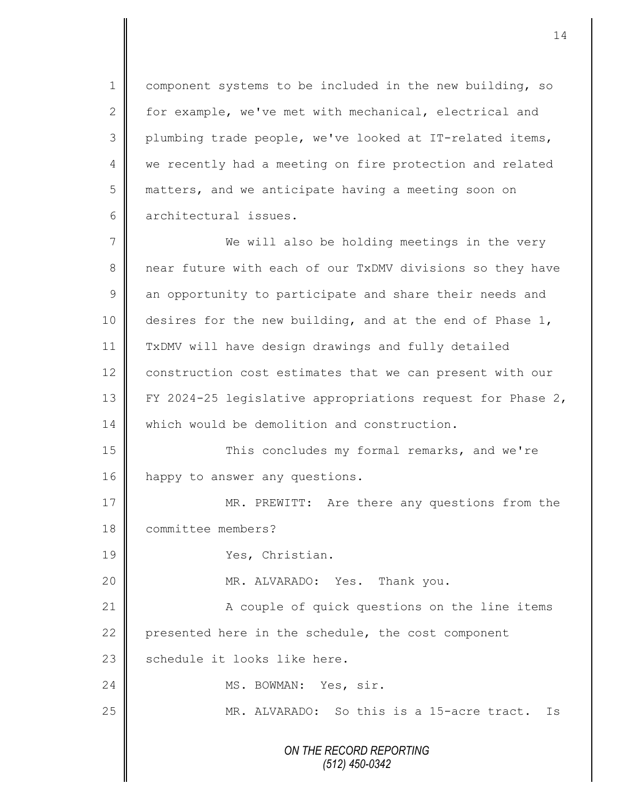1 | component systems to be included in the new building, so 2 for example, we've met with mechanical, electrical and 3 plumbing trade people, we've looked at IT-related items, 4 we recently had a meeting on fire protection and related 5 matters, and we anticipate having a meeting soon on 6 architectural issues.

7 We will also be holding meetings in the very 8 near future with each of our TxDMV divisions so they have  $9 \parallel$  an opportunity to participate and share their needs and 10 desires for the new building, and at the end of Phase 1, 11 TxDMV will have design drawings and fully detailed 12 construction cost estimates that we can present with our 13 FY 2024-25 legislative appropriations request for Phase 2, 14 which would be demolition and construction.

15 This concludes my formal remarks, and we're 16 happy to answer any questions.

17 MR. PREWITT: Are there any questions from the 18 committee members? 19 Ves, Christian. 20 MR. ALVARADO: Yes. Thank you.

21 | A couple of quick questions on the line items 22 presented here in the schedule, the cost component  $23$   $\parallel$  schedule it looks like here.

24 | MS. BOWMAN: Yes, sir.

25 || MR. ALVARADO: So this is a 15-acre tract. Is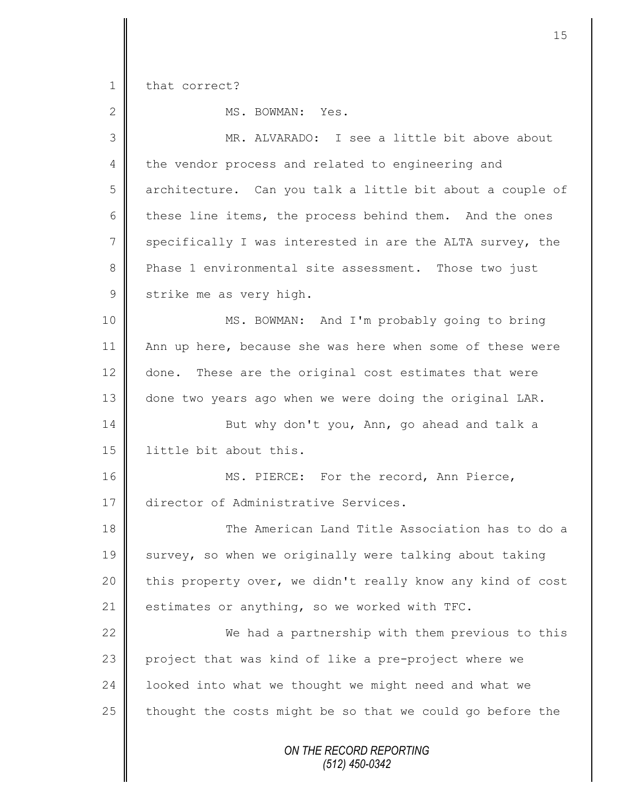1 that correct?

| $\overline{2}$ | MS. BOWMAN: Yes.                                           |
|----------------|------------------------------------------------------------|
| 3              | MR. ALVARADO: I see a little bit above about               |
| 4              | the vendor process and related to engineering and          |
| 5              | architecture. Can you talk a little bit about a couple of  |
| 6              | these line items, the process behind them. And the ones    |
| $\overline{7}$ | specifically I was interested in are the ALTA survey, the  |
| 8              | Phase 1 environmental site assessment. Those two just      |
| $\mathsf 9$    | strike me as very high.                                    |
| 10             | MS. BOWMAN: And I'm probably going to bring                |
| 11             | Ann up here, because she was here when some of these were  |
| 12             | done. These are the original cost estimates that were      |
| 13             | done two years ago when we were doing the original LAR.    |
| 14             | But why don't you, Ann, go ahead and talk a                |
| 15             | little bit about this.                                     |
| 16             | MS. PIERCE: For the record, Ann Pierce,                    |
| 17             | director of Administrative Services.                       |
| 18             | The American Land Title Association has to do a            |
| 19             | survey, so when we originally were talking about taking    |
| 20             | this property over, we didn't really know any kind of cost |
| 21             | estimates or anything, so we worked with TFC.              |
| 22             | We had a partnership with them previous to this            |
| 23             | project that was kind of like a pre-project where we       |
| 24             | looked into what we thought we might need and what we      |
| 25             | thought the costs might be so that we could go before the  |
|                | ON THE RECORD REPORTING<br>$(512)$ 450-0342                |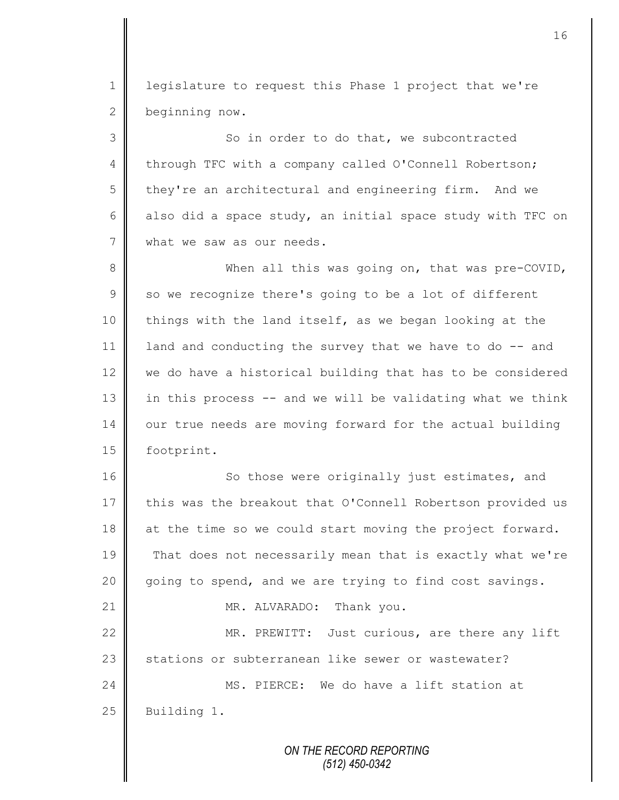1 || legislature to request this Phase 1 project that we're 2 beginning now.

3 So in order to do that, we subcontracted 4 through TFC with a company called O'Connell Robertson; 5 they're an architectural and engineering firm. And we 6 also did a space study, an initial space study with TFC on 7 what we saw as our needs.

8 When all this was going on, that was pre-COVID,  $9 \parallel$  so we recognize there's going to be a lot of different 10 things with the land itself, as we began looking at the 11 | land and conducting the survey that we have to do  $-$ - and 12 we do have a historical building that has to be considered 13 | in this process  $-$  and we will be validating what we think 14 our true needs are moving forward for the actual building 15 | footprint.

16 So those were originally just estimates, and 17 this was the breakout that O'Connell Robertson provided us 18 at the time so we could start moving the project forward. 19 That does not necessarily mean that is exactly what we're 20 going to spend, and we are trying to find cost savings. 21 || MR. ALVARADO: Thank you. 22 MR. PREWITT: Just curious, are there any lift 23 stations or subterranean like sewer or wastewater? 24 MS. PIERCE: We do have a lift station at 25 Building 1.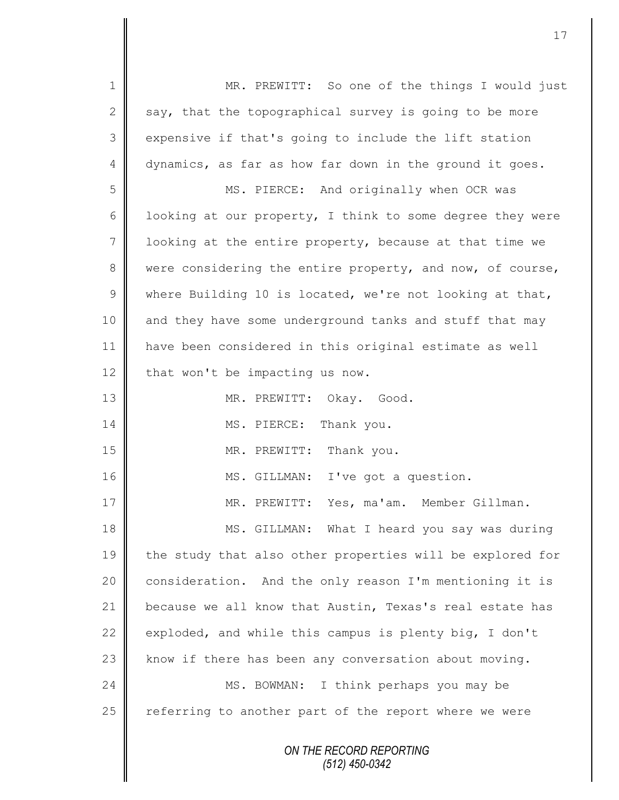*ON THE RECORD REPORTING (512) 450-0342* 1 || MR. PREWITT: So one of the things I would just 2 say, that the topographical survey is going to be more 3 expensive if that's going to include the lift station 4 dynamics, as far as how far down in the ground it goes. 5 || MS. PIERCE: And originally when OCR was 6 | looking at our property, I think to some degree they were  $7 \parallel$  looking at the entire property, because at that time we 8 were considering the entire property, and now, of course, 9 where Building 10 is located, we're not looking at that, 10 and they have some underground tanks and stuff that may 11 have been considered in this original estimate as well  $12$  that won't be impacting us now. 13 || MR. PREWITT: Okay. Good. 14 MS. PIERCE: Thank you. 15 MR. PREWITT: Thank you. 16 || MS. GILLMAN: I've got a question. 17 MR. PREWITT: Yes, ma'am. Member Gillman. 18 MS. GILLMAN: What I heard you say was during 19 the study that also other properties will be explored for 20  $\parallel$  consideration. And the only reason I'm mentioning it is 21 because we all know that Austin, Texas's real estate has 22 exploded, and while this campus is plenty big, I don't 23  $\parallel$  know if there has been any conversation about moving. 24 | MS. BOWMAN: I think perhaps you may be  $25$  referring to another part of the report where we were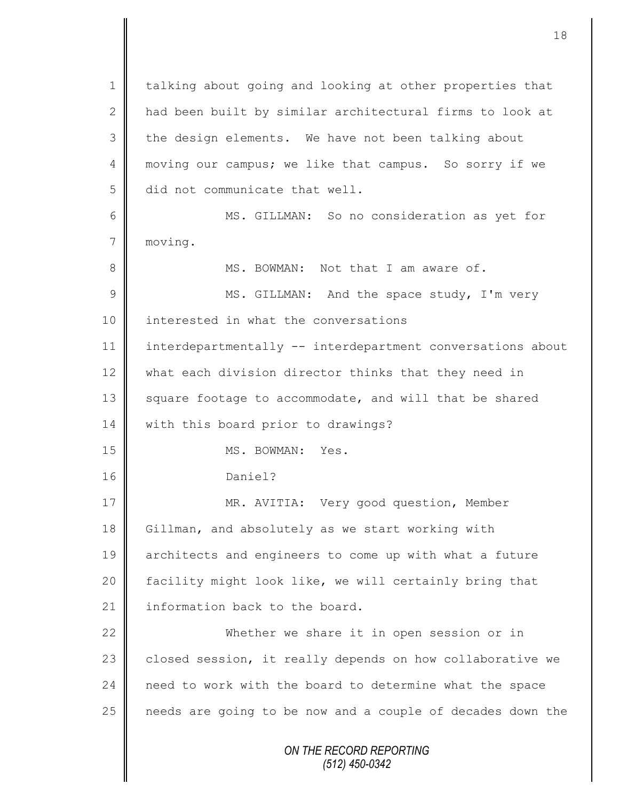*ON THE RECORD REPORTING (512) 450-0342* 1 | talking about going and looking at other properties that 2 | had been built by similar architectural firms to look at  $3$  | the design elements. We have not been talking about 4 moving our campus; we like that campus. So sorry if we 5 did not communicate that well. 6 MS. GILLMAN: So no consideration as yet for 7 moving. 8 **MS. BOWMAN:** Not that I am aware of. 9 || MS. GILLMAN: And the space study, I'm very 10 | interested in what the conversations 11 interdepartmentally -- interdepartment conversations about 12 what each division director thinks that they need in 13 square footage to accommodate, and will that be shared 14 | with this board prior to drawings? 15 NS. BOWMAN: Yes. 16 Daniel? 17 || MR. AVITIA: Very good question, Member 18 Gillman, and absolutely as we start working with 19 architects and engineers to come up with what a future 20 | facility might look like, we will certainly bring that 21  $\parallel$  information back to the board. 22 Whether we share it in open session or in 23 closed session, it really depends on how collaborative we 24 need to work with the board to determine what the space 25 | needs are going to be now and a couple of decades down the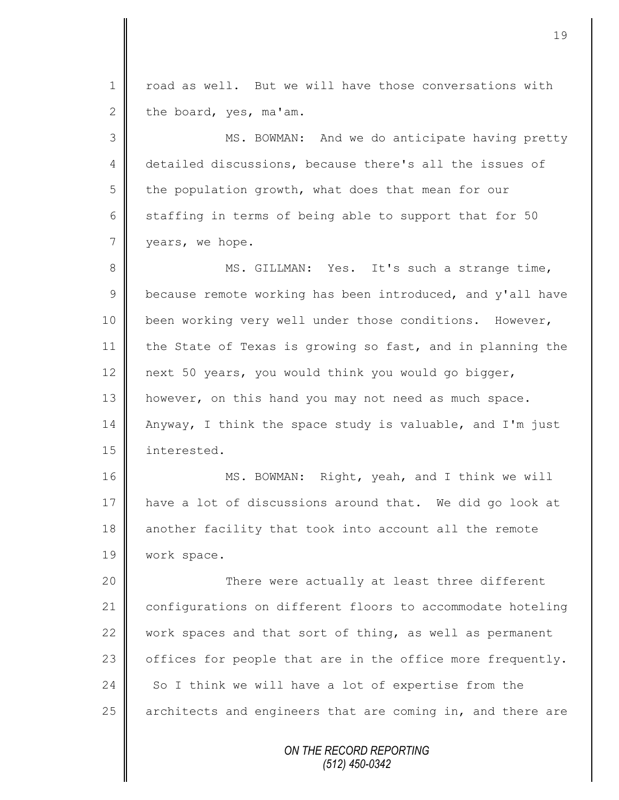*ON THE RECORD REPORTING (512) 450-0342* 1 | road as well. But we will have those conversations with 2 the board, yes, ma'am. 3 || MS. BOWMAN: And we do anticipate having pretty 4 detailed discussions, because there's all the issues of  $5 \parallel$  the population growth, what does that mean for our 6 staffing in terms of being able to support that for 50 7 vears, we hope. 8 || MS. GILLMAN: Yes. It's such a strange time,  $9 \parallel$  because remote working has been introduced, and y'all have 10 | been working very well under those conditions. However, 11 the State of Texas is growing so fast, and in planning the 12 next 50 years, you would think you would go bigger, 13 | however, on this hand you may not need as much space. 14 Anyway, I think the space study is valuable, and I'm just 15 | interested. 16 || MS. BOWMAN: Right, yeah, and I think we will 17 have a lot of discussions around that. We did go look at 18 another facility that took into account all the remote 19 | work space. 20 There were actually at least three different 21 configurations on different floors to accommodate hoteling 22 work spaces and that sort of thing, as well as permanent 23  $\parallel$  offices for people that are in the office more frequently. 24 So I think we will have a lot of expertise from the 25 architects and engineers that are coming in, and there are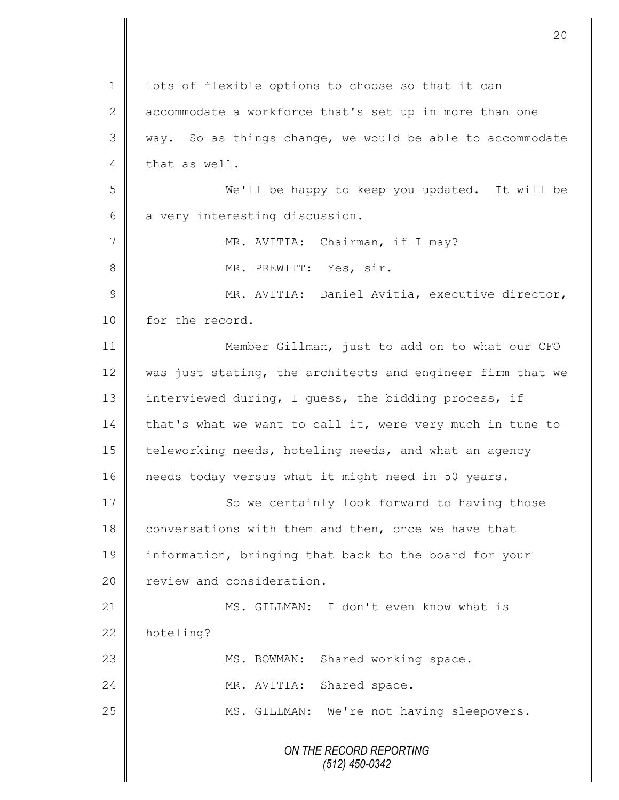|                | 20                                                         |
|----------------|------------------------------------------------------------|
|                |                                                            |
| $\mathbf 1$    | lots of flexible options to choose so that it can          |
| $\mathbf{2}$   | accommodate a workforce that's set up in more than one     |
| 3              | way. So as things change, we would be able to accommodate  |
| 4              | that as well.                                              |
| 5              | We'll be happy to keep you updated. It will be             |
| 6              | a very interesting discussion.                             |
| $\overline{7}$ | MR. AVITIA: Chairman, if I may?                            |
| 8              | MR. PREWITT: Yes, sir.                                     |
| 9              | MR. AVITIA: Daniel Avitia, executive director,             |
| 10             | for the record.                                            |
| 11             | Member Gillman, just to add on to what our CFO             |
| 12             | was just stating, the architects and engineer firm that we |
| 13             | interviewed during, I guess, the bidding process, if       |
| 14             | that's what we want to call it, were very much in tune to  |
| 15             | teleworking needs, hoteling needs, and what an agency      |
| 16             | needs today versus what it might need in 50 years.         |
| 17             | So we certainly look forward to having those               |
| 18             | conversations with them and then, once we have that        |
| 19             | information, bringing that back to the board for your      |
| 20             | review and consideration.                                  |
| 21             | MS. GILLMAN: I don't even know what is                     |
| 22             | hoteling?                                                  |
| 23             | Shared working space.<br>MS. BOWMAN:                       |
| 24             | MR. AVITIA:<br>Shared space.                               |
| 25             | MS. GILLMAN: We're not having sleepovers.                  |
|                | ON THE RECORD REPORTING<br>$(512)$ 450-0342                |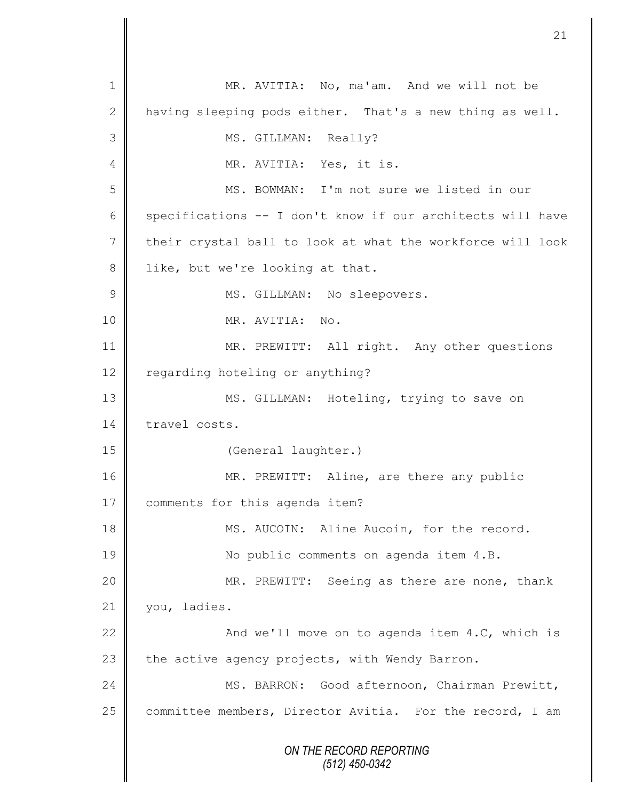*ON THE RECORD REPORTING (512) 450-0342* 1 || MR. AVITIA: No, ma'am. And we will not be 2 having sleeping pods either. That's a new thing as well. 3 || MS. GILLMAN: Really? 4 | MR. AVITIA: Yes, it is. 5 MS. BOWMAN: I'm not sure we listed in our 6 specifications  $-$ - I don't know if our architects will have 7 their crystal ball to look at what the workforce will look 8 | like, but we're looking at that. 9 || MS. GILLMAN: No sleepovers. 10 MR. AVITIA: No. 11 || MR. PREWITT: All right. Any other questions 12 regarding hoteling or anything? 13 || MS. GILLMAN: Hoteling, trying to save on 14 travel costs. 15 | (General laughter.) 16 MR. PREWITT: Aline, are there any public 17 | comments for this agenda item? 18 || MS. AUCOIN: Aline Aucoin, for the record. 19 || No public comments on agenda item 4.B. 20 || MR. PREWITT: Seeing as there are none, thank 21 | you, ladies. 22  $\parallel$  And we'll move on to agenda item 4.C, which is 23  $\parallel$  the active agency projects, with Wendy Barron. 24 | MS. BARRON: Good afternoon, Chairman Prewitt, 25 | committee members, Director Avitia. For the record, I am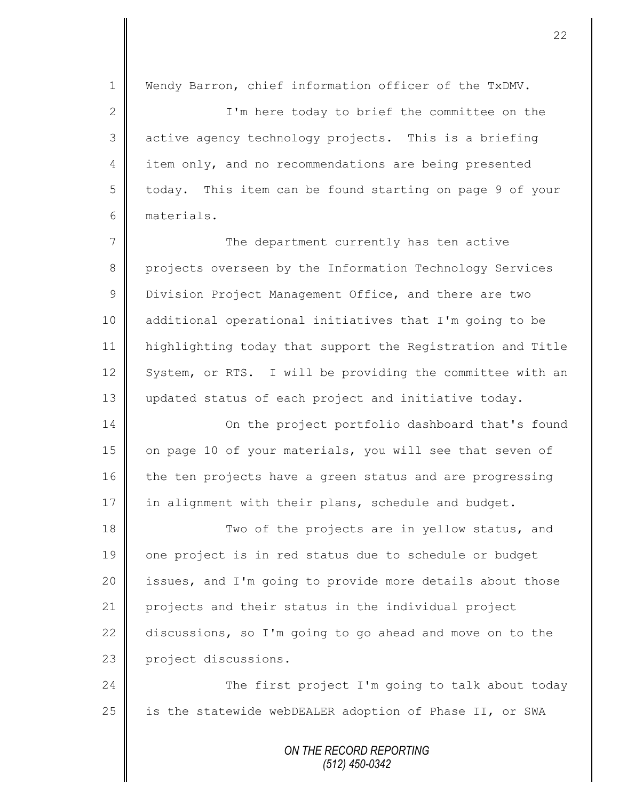*ON THE RECORD REPORTING* 1 Wendy Barron, chief information officer of the TxDMV. 2 || I'm here today to brief the committee on the 3 active agency technology projects. This is a briefing 4 item only, and no recommendations are being presented 5 today. This item can be found starting on page 9 of your 6 materials. 7 The department currently has ten active 8 projects overseen by the Information Technology Services 9 Division Project Management Office, and there are two 10 additional operational initiatives that I'm going to be 11 highlighting today that support the Registration and Title 12 System, or RTS. I will be providing the committee with an 13 updated status of each project and initiative today. 14 **On the project portfolio dashboard that's found** 15 | on page 10 of your materials, you will see that seven of  $16$  the ten projects have a green status and are progressing 17 in alignment with their plans, schedule and budget. 18  $\parallel$  Two of the projects are in yellow status, and 19 one project is in red status due to schedule or budget 20 | issues, and I'm going to provide more details about those 21 projects and their status in the individual project 22  $\parallel$  discussions, so I'm going to go ahead and move on to the 23 project discussions. 24 The first project I'm going to talk about today 25  $\parallel$  is the statewide webDEALER adoption of Phase II, or SWA

*(512) 450-0342*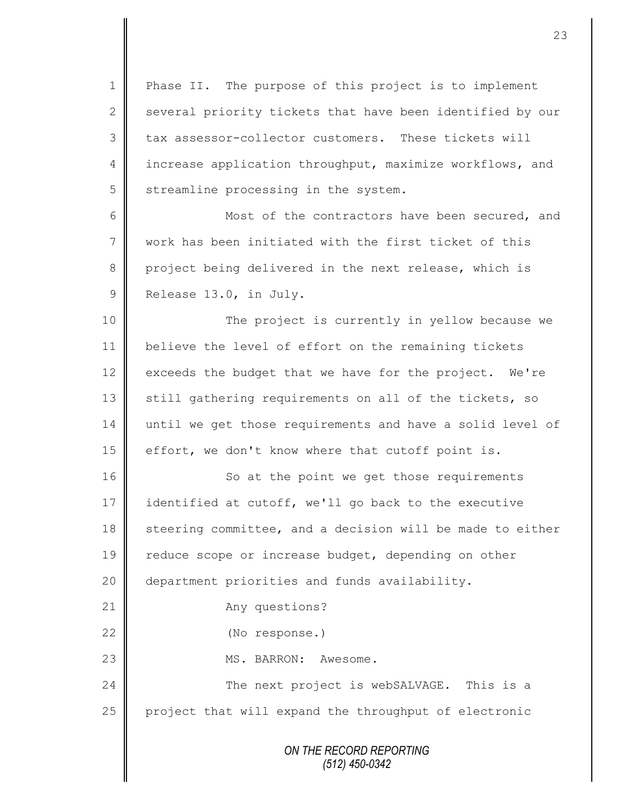1 || Phase II. The purpose of this project is to implement  $2 \parallel$  several priority tickets that have been identified by our 3 tax assessor-collector customers. These tickets will 4 increase application throughput, maximize workflows, and  $5$  streamline processing in the system.

6 || Most of the contractors have been secured, and 7 work has been initiated with the first ticket of this 8 project being delivered in the next release, which is 9 Release 13.0, in July.

10 || The project is currently in yellow because we 11 believe the level of effort on the remaining tickets 12  $\parallel$  exceeds the budget that we have for the project. We're 13 still gathering requirements on all of the tickets, so 14 until we get those requirements and have a solid level of 15 effort, we don't know where that cutoff point is.

*ON THE RECORD REPORTING* 16 || So at the point we get those requirements 17 identified at cutoff, we'll go back to the executive 18 steering committee, and a decision will be made to either 19 | reduce scope or increase budget, depending on other 20 department priorities and funds availability. 21 Any questions? 22 (No response.) 23 || MS. BARRON: Awesome. 24  $\parallel$  The next project is webSALVAGE. This is a  $25$  project that will expand the throughput of electronic

*(512) 450-0342*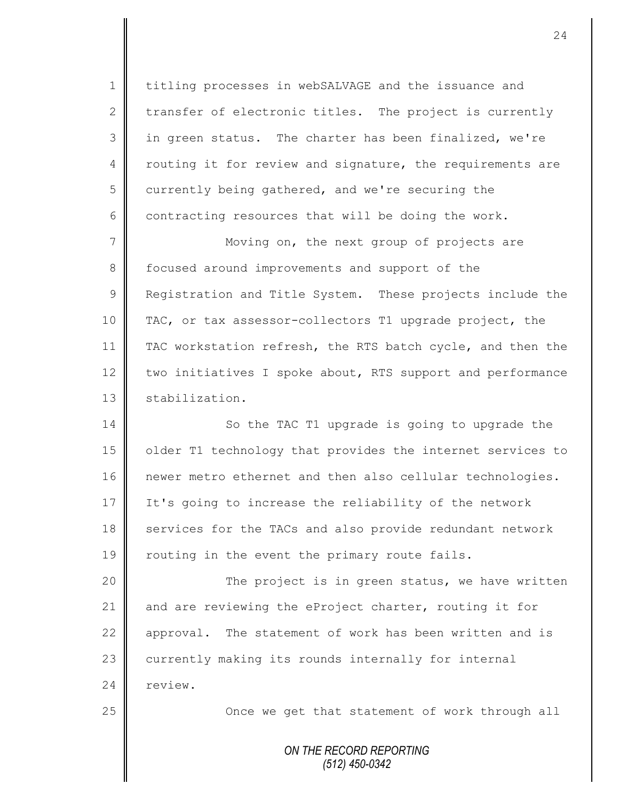1 titling processes in webSALVAGE and the issuance and 2 transfer of electronic titles. The project is currently 3 || in green status. The charter has been finalized, we're 4 | routing it for review and signature, the requirements are  $5 \parallel$  currently being gathered, and we're securing the  $6 \parallel$  contracting resources that will be doing the work.

7 || Moving on, the next group of projects are 8 focused around improvements and support of the 9 **Registration and Title System.** These projects include the 10 TAC, or tax assessor-collectors T1 upgrade project, the 11 TAC workstation refresh, the RTS batch cycle, and then the 12 two initiatives I spoke about, RTS support and performance 13 | stabilization.

14 || So the TAC T1 upgrade is going to upgrade the 15 | older T1 technology that provides the internet services to 16 newer metro ethernet and then also cellular technologies. 17 It's going to increase the reliability of the network 18 services for the TACs and also provide redundant network 19 | routing in the event the primary route fails.

20 | The project is in green status, we have written 21 and are reviewing the eProject charter, routing it for  $22$  | approval. The statement of work has been written and is 23 currently making its rounds internally for internal 24 review.

25 | Choice we get that statement of work through all

*ON THE RECORD REPORTING (512) 450-0342*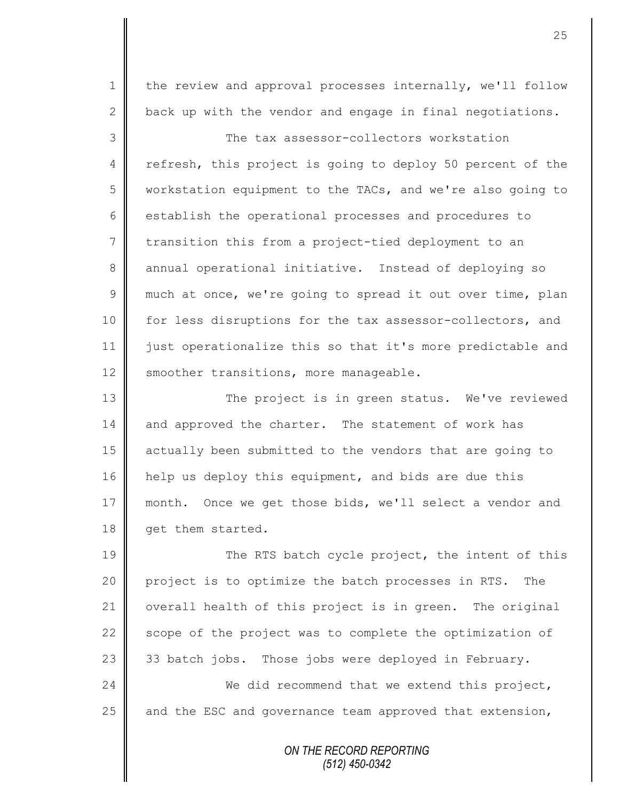1 | the review and approval processes internally, we'll follow 2 back up with the vendor and engage in final negotiations.

3 The tax assessor-collectors workstation 4 refresh, this project is going to deploy 50 percent of the 5 workstation equipment to the TACs, and we're also going to 6  $\parallel$  establish the operational processes and procedures to 7 transition this from a project-tied deployment to an 8 annual operational initiative. Instead of deploying so  $9 \parallel$  much at once, we're going to spread it out over time, plan 10 | for less disruptions for the tax assessor-collectors, and 11 just operationalize this so that it's more predictable and 12 | smoother transitions, more manageable.

13 The project is in green status. We've reviewed 14 and approved the charter. The statement of work has 15 actually been submitted to the vendors that are going to 16 help us deploy this equipment, and bids are due this 17 month. Once we get those bids, we'll select a vendor and 18 **qet them started.** 

19 || The RTS batch cycle project, the intent of this 20 project is to optimize the batch processes in RTS. The 21 | overall health of this project is in green. The original 22  $\parallel$  scope of the project was to complete the optimization of 23  $\parallel$  33 batch jobs. Those jobs were deployed in February. 24 We did recommend that we extend this project, 25  $\parallel$  and the ESC and governance team approved that extension,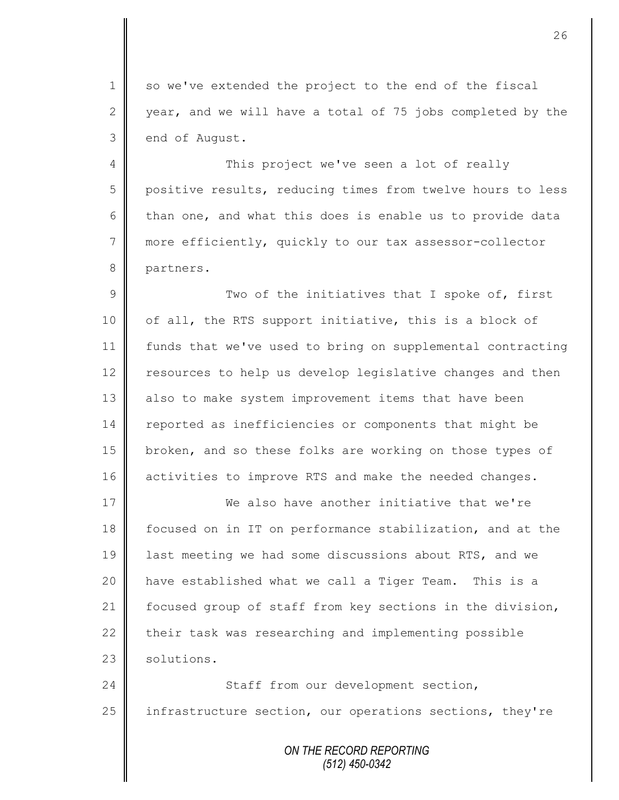1 so we've extended the project to the end of the fiscal 2 year, and we will have a total of 75 jobs completed by the 3 end of August.

4 This project we've seen a lot of really 5 positive results, reducing times from twelve hours to less 6 than one, and what this does is enable us to provide data 7 more efficiently, quickly to our tax assessor-collector 8 partners.

 $9 \parallel$  Two of the initiatives that I spoke of, first 10 | of all, the RTS support initiative, this is a block of 11 funds that we've used to bring on supplemental contracting 12 | resources to help us develop legislative changes and then 13 also to make system improvement items that have been 14 reported as inefficiencies or components that might be 15 broken, and so these folks are working on those types of 16 activities to improve RTS and make the needed changes.

 We also have another initiative that we're focused on in IT on performance stabilization, and at the 19 alst meeting we had some discussions about RTS, and we have established what we call a Tiger Team. This is a 21 | focused group of staff from key sections in the division,  $\parallel$  their task was researching and implementing possible solutions.

24 Staff from our development section, 25 | infrastructure section, our operations sections, they're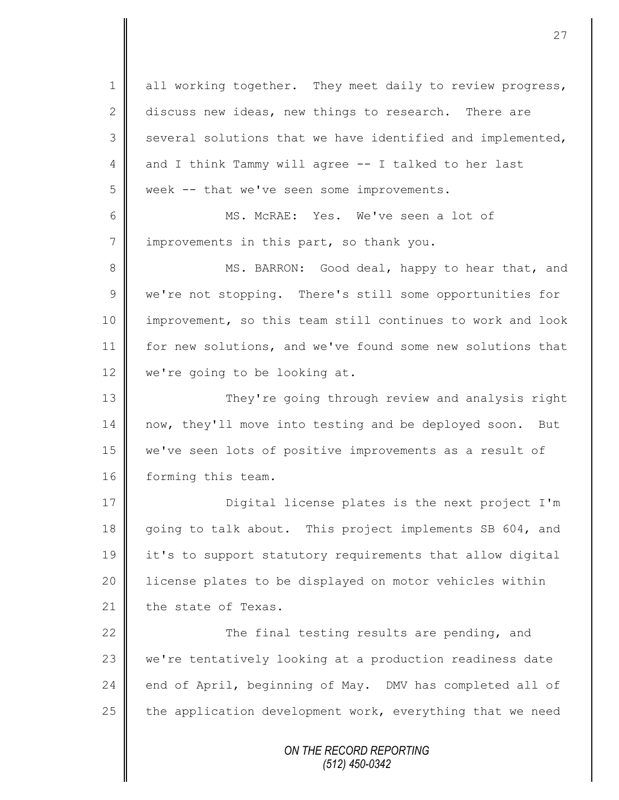*ON THE RECORD REPORTING (512) 450-0342* 1 all working together. They meet daily to review progress, 2 discuss new ideas, new things to research. There are  $3 \parallel$  several solutions that we have identified and implemented, 4 and I think Tammy will agree -- I talked to her last 5 week -- that we've seen some improvements. 6 MS. McRAE: Yes. We've seen a lot of  $7$  | improvements in this part, so thank you. 8 MS. BARRON: Good deal, happy to hear that, and 9 | we're not stopping. There's still some opportunities for 10 | improvement, so this team still continues to work and look 11 for new solutions, and we've found some new solutions that 12 | we're going to be looking at. 13 They're going through review and analysis right 14 now, they'll move into testing and be deployed soon. But 15 we've seen lots of positive improvements as a result of 16 forming this team. 17 || Digital license plates is the next project I'm 18 going to talk about. This project implements SB 604, and 19 it's to support statutory requirements that allow digital 20 | license plates to be displayed on motor vehicles within 21  $\parallel$  the state of Texas. 22  $\parallel$  The final testing results are pending, and 23 we're tentatively looking at a production readiness date 24 end of April, beginning of May. DMV has completed all of 25  $\parallel$  the application development work, everything that we need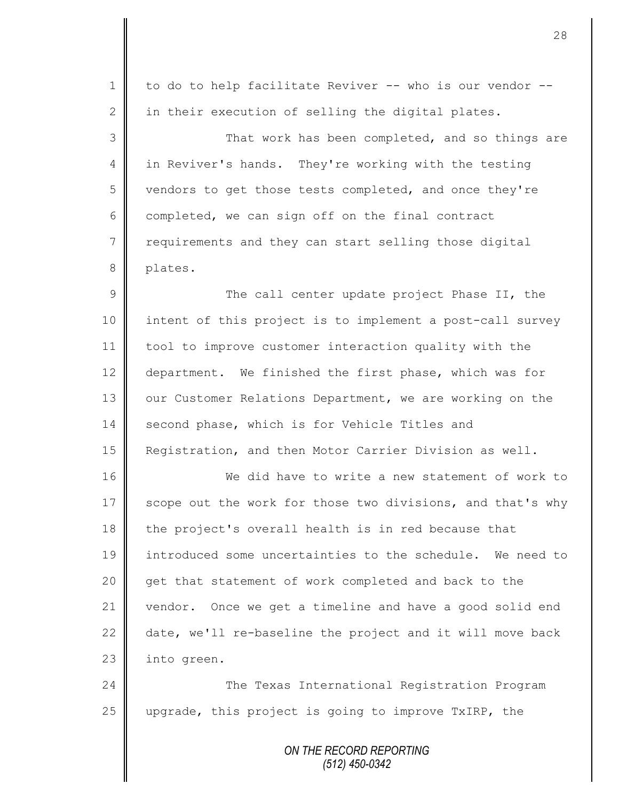| $\mathbf 1$    | to do to help facilitate Reviver -- who is our vendor --   |
|----------------|------------------------------------------------------------|
| 2              | in their execution of selling the digital plates.          |
| 3              | That work has been completed, and so things are            |
| $\overline{4}$ | in Reviver's hands. They're working with the testing       |
| 5              | vendors to get those tests completed, and once they're     |
| 6              | completed, we can sign off on the final contract           |
| 7              | requirements and they can start selling those digital      |
| 8              | plates.                                                    |
| 9              | The call center update project Phase II, the               |
| 10             | intent of this project is to implement a post-call survey  |
| 11             | tool to improve customer interaction quality with the      |
| 12             | department. We finished the first phase, which was for     |
| 13             | our Customer Relations Department, we are working on the   |
| 14             | second phase, which is for Vehicle Titles and              |
| 15             | Registration, and then Motor Carrier Division as well.     |
| 16             | We did have to write a new statement of work to            |
| 17             | scope out the work for those two divisions, and that's why |
| 18             | the project's overall health is in red because that        |
| 19             | introduced some uncertainties to the schedule. We need to  |
| 20             | get that statement of work completed and back to the       |
| 21             | vendor. Once we get a timeline and have a good solid end   |
| 22             | date, we'll re-baseline the project and it will move back  |
| 23             | into green.                                                |
| 24             | The Texas International Registration Program               |
| 25             | upgrade, this project is going to improve TxIRP, the       |
|                | ON THE RECORD REPORTING                                    |
|                |                                                            |

*(512) 450-0342*

II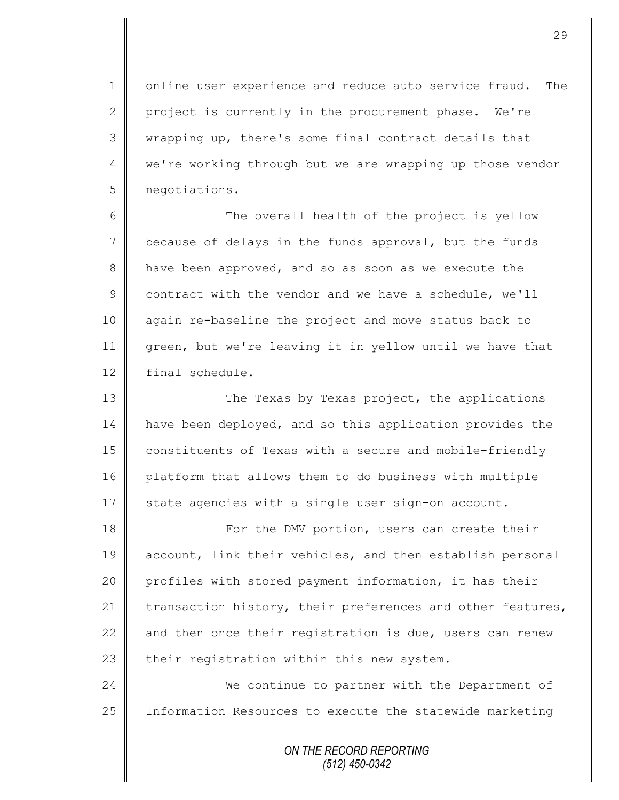1 | online user experience and reduce auto service fraud. The 2 project is currently in the procurement phase. We're 3 || wrapping up, there's some final contract details that 4 we're working through but we are wrapping up those vendor 5 negotiations.

6 || The overall health of the project is yellow 7 because of delays in the funds approval, but the funds 8 have been approved, and so as soon as we execute the 9 contract with the vendor and we have a schedule, we'll 10 again re-baseline the project and move status back to 11 green, but we're leaving it in yellow until we have that 12 final schedule.

13 The Texas by Texas project, the applications 14 | have been deployed, and so this application provides the 15 constituents of Texas with a secure and mobile-friendly 16 platform that allows them to do business with multiple 17 State agencies with a single user sign-on account.

18 **For the DMV portion, users can create their** 19 | account, link their vehicles, and then establish personal 20 profiles with stored payment information, it has their 21 transaction history, their preferences and other features, 22  $\parallel$  and then once their registration is due, users can renew  $23$  their registration within this new system.

24 We continue to partner with the Department of 25 | Information Resources to execute the statewide marketing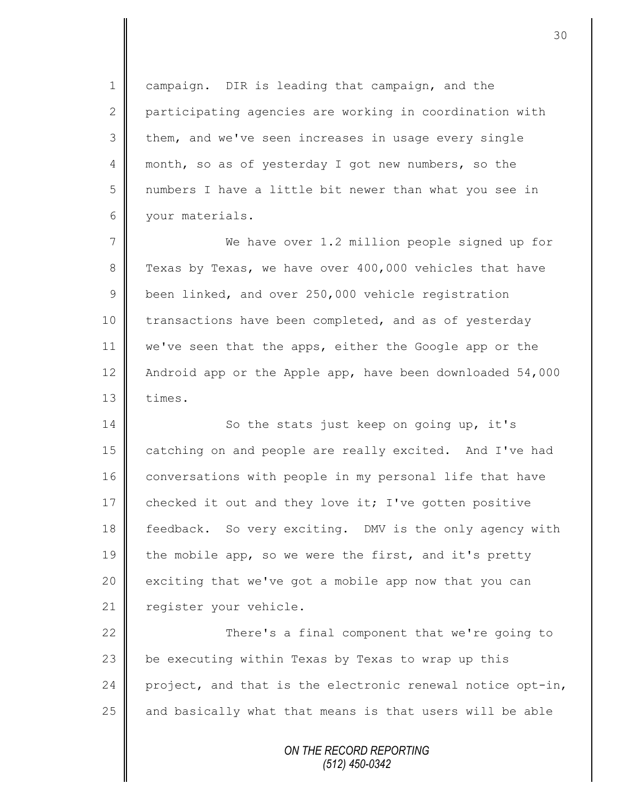1 campaign. DIR is leading that campaign, and the 2 participating agencies are working in coordination with 3 them, and we've seen increases in usage every single 4 month, so as of yesterday I got new numbers, so the 5 numbers I have a little bit newer than what you see in 6 your materials.

7 We have over 1.2 million people signed up for 8 Texas by Texas, we have over 400,000 vehicles that have 9 been linked, and over 250,000 vehicle registration 10 transactions have been completed, and as of yesterday 11 | we've seen that the apps, either the Google app or the 12 Android app or the Apple app, have been downloaded 54,000 13 l times.

14 So the stats just keep on going up, it's 15 catching on and people are really excited. And I've had 16 conversations with people in my personal life that have 17 checked it out and they love it; I've gotten positive 18 feedback. So very exciting. DMV is the only agency with 19 the mobile app, so we were the first, and it's pretty 20  $\parallel$  exciting that we've got a mobile app now that you can 21 | register your vehicle.

22 || There's a final component that we're going to  $\parallel$  be executing within Texas by Texas to wrap up this | project, and that is the electronic renewal notice opt-in, and basically what that means is that users will be able

> *ON THE RECORD REPORTING (512) 450-0342*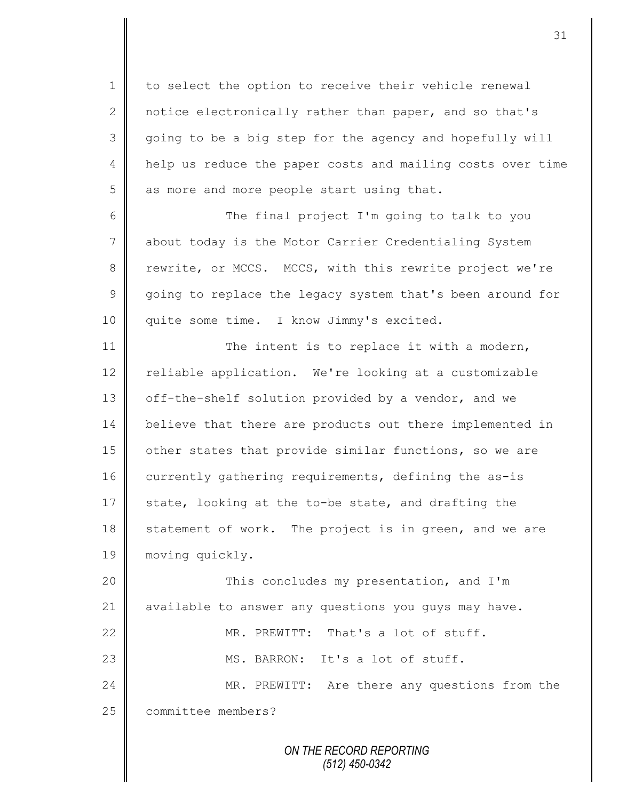1 to select the option to receive their vehicle renewal 2 notice electronically rather than paper, and so that's 3 going to be a big step for the agency and hopefully will 4 | help us reduce the paper costs and mailing costs over time  $5$  as more and more people start using that.

6 The final project I'm going to talk to you 7 about today is the Motor Carrier Credentialing System 8 | rewrite, or MCCS. MCCS, with this rewrite project we're 9 || going to replace the legacy system that's been around for 10 | quite some time. I know Jimmy's excited.

11 The intent is to replace it with a modern, 12 reliable application. We're looking at a customizable 13 off-the-shelf solution provided by a vendor, and we 14 | believe that there are products out there implemented in 15 | other states that provide similar functions, so we are 16 | currently gathering requirements, defining the as-is 17 state, looking at the to-be state, and drafting the 18 statement of work. The project is in green, and we are 19 moving quickly.

20 This concludes my presentation, and I'm 21 available to answer any questions you guys may have. 22 || MR. PREWITT: That's a lot of stuff. 23 MS. BARRON: It's a lot of stuff. 24 MR. PREWITT: Are there any questions from the 25 | committee members?

> *ON THE RECORD REPORTING (512) 450-0342*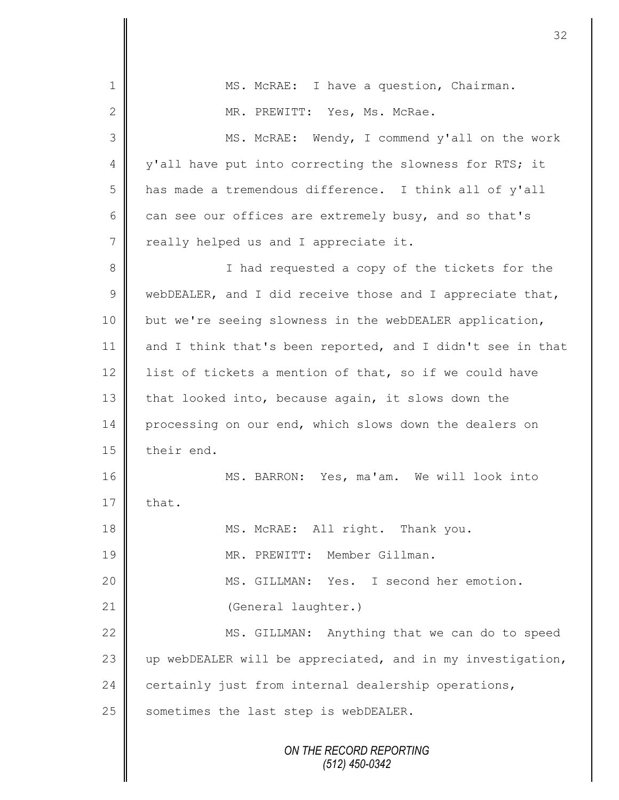| $\mathbf 1$ | MS. McRAE: I have a question, Chairman.                    |
|-------------|------------------------------------------------------------|
| 2           | MR. PREWITT: Yes, Ms. McRae.                               |
| 3           | MS. McRAE: Wendy, I commend y'all on the work              |
| 4           | y'all have put into correcting the slowness for RTS; it    |
| 5           | has made a tremendous difference. I think all of y'all     |
| 6           | can see our offices are extremely busy, and so that's      |
| 7           | really helped us and I appreciate it.                      |
| 8           | I had requested a copy of the tickets for the              |
| $\mathsf 9$ | webDEALER, and I did receive those and I appreciate that,  |
| 10          | but we're seeing slowness in the webDEALER application,    |
| 11          | and I think that's been reported, and I didn't see in that |
| 12          | list of tickets a mention of that, so if we could have     |
| 13          | that looked into, because again, it slows down the         |
| 14          | processing on our end, which slows down the dealers on     |
| 15          | their end.                                                 |
| 16          | MS. BARRON: Yes, ma'am. We will look into                  |
| 17          | that.                                                      |
| 18          | MS. McRAE: All right. Thank you.                           |
| 19          | MR. PREWITT: Member Gillman.                               |
| 20          | MS. GILLMAN: Yes. I second her emotion.                    |
| 21          | (General laughter.)                                        |
| 22          | MS. GILLMAN: Anything that we can do to speed              |
| 23          | up webDEALER will be appreciated, and in my investigation, |
| 24          | certainly just from internal dealership operations,        |
| 25          | sometimes the last step is webDEALER.                      |
|             | ON THE RECORD REPORTING<br>$(512)$ 450-0342                |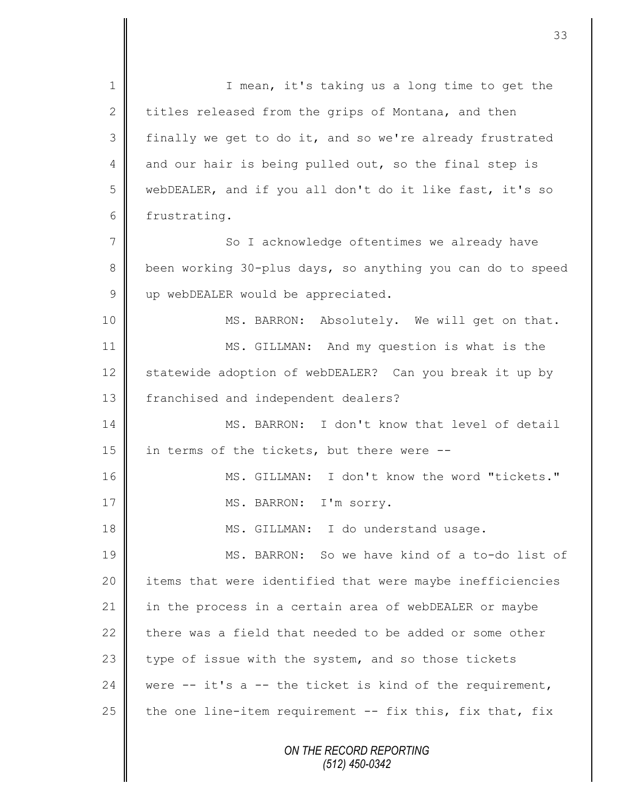*ON THE RECORD REPORTING (512) 450-0342* 1 || I mean, it's taking us a long time to get the 2 titles released from the grips of Montana, and then 3 finally we get to do it, and so we're already frustrated 4 and our hair is being pulled out, so the final step is 5 webDEALER, and if you all don't do it like fast, it's so 6 frustrating. 7 || So I acknowledge oftentimes we already have 8 been working 30-plus days, so anything you can do to speed 9 up webDEALER would be appreciated. 10 || MS. BARRON: Absolutely. We will get on that. 11 MS. GILLMAN: And my question is what is the 12 Statewide adoption of webDEALER? Can you break it up by 13 | franchised and independent dealers? 14 MS. BARRON: I don't know that level of detail 15  $\parallel$  in terms of the tickets, but there were  $-$ 16 MS. GILLMAN: I don't know the word "tickets." 17 || MS. BARRON: I'm sorry. 18 MS. GILLMAN: I do understand usage. 19 MS. BARRON: So we have kind of a to-do list of 20 | items that were identified that were maybe inefficiencies 21 in the process in a certain area of webDEALER or maybe 22 there was a field that needed to be added or some other 23 type of issue with the system, and so those tickets 24 were  $-$  it's a  $-$  the ticket is kind of the requirement, 25  $\parallel$  the one line-item requirement -- fix this, fix that, fix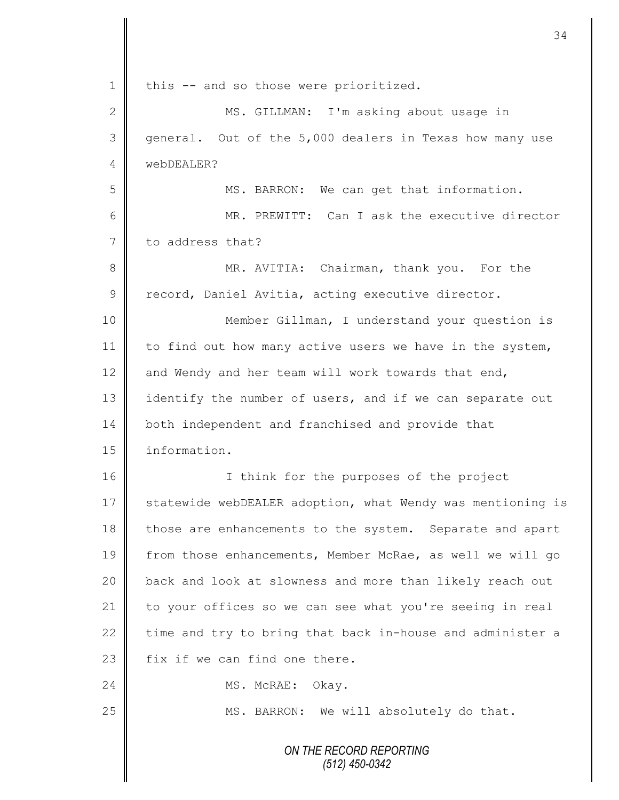|                 | 34                                                         |
|-----------------|------------------------------------------------------------|
| $\mathbf 1$     | this -- and so those were prioritized.                     |
| $\mathbf{2}$    | MS. GILLMAN: I'm asking about usage in                     |
| 3               | general. Out of the 5,000 dealers in Texas how many use    |
| 4               | webDEALER?                                                 |
| 5               | MS. BARRON: We can get that information.                   |
| 6               | MR. PREWITT: Can I ask the executive director              |
| $7\phantom{.0}$ | to address that?                                           |
| 8               | MR. AVITIA: Chairman, thank you. For the                   |
| $\mathsf 9$     | record, Daniel Avitia, acting executive director.          |
| 10              | Member Gillman, I understand your question is              |
| 11              | to find out how many active users we have in the system,   |
| 12              | and Wendy and her team will work towards that end,         |
| 13              | identify the number of users, and if we can separate out   |
| 14              | both independent and franchised and provide that           |
| 15              | information.                                               |
| 16              | I think for the purposes of the project                    |
| 17              | statewide webDEALER adoption, what Wendy was mentioning is |
| 18              | those are enhancements to the system. Separate and apart   |
| 19              | from those enhancements, Member McRae, as well we will go  |
| 20              | back and look at slowness and more than likely reach out   |
| 21              | to your offices so we can see what you're seeing in real   |
| 22              | time and try to bring that back in-house and administer a  |
| 23              | fix if we can find one there.                              |
| 24              | MS. McRAE: Okay.                                           |
| 25              | MS. BARRON: We will absolutely do that.                    |
|                 | ON THE RECORD REPORTING<br>(512) 450-0342                  |

 $\mathbf l$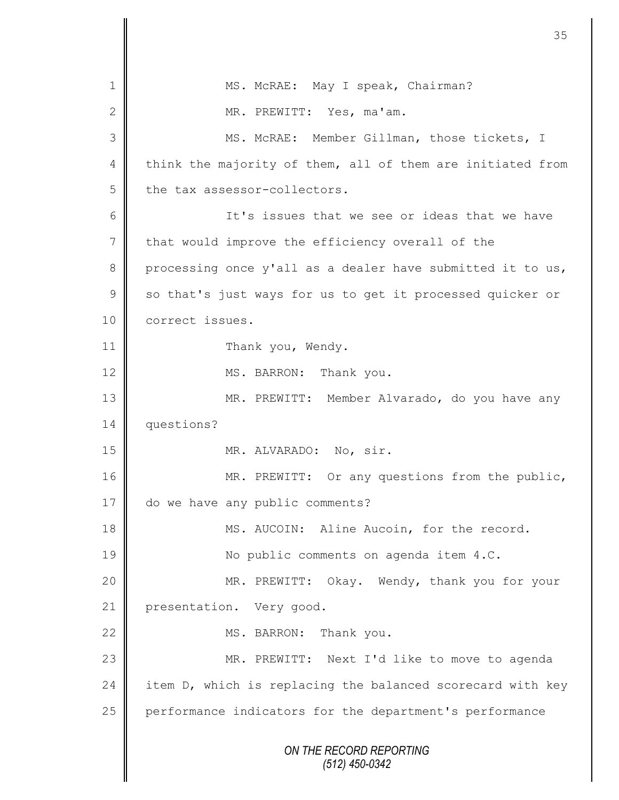*ON THE RECORD REPORTING (512) 450-0342* 1 | MS. McRAE: May I speak, Chairman? 2 MR. PREWITT: Yes, ma'am. 3 || MS. McRAE: Member Gillman, those tickets, I 4 think the majority of them, all of them are initiated from  $5$  the tax assessor-collectors. 6 || It's issues that we see or ideas that we have 7 that would improve the efficiency overall of the 8 processing once y'all as a dealer have submitted it to us,  $9 \parallel$  so that's just ways for us to get it processed quicker or 10 correct issues. 11 | Thank you, Wendy. 12 MS. BARRON: Thank you. 13 | MR. PREWITT: Member Alvarado, do you have any 14 questions? 15 || MR. ALVARADO: No, sir. 16 | MR. PREWITT: Or any questions from the public, 17 do we have any public comments? 18 || MS. AUCOIN: Aline Aucoin, for the record. 19 || No public comments on agenda item 4.C. 20 MR. PREWITT: Okay. Wendy, thank you for your 21 presentation. Very good. 22 MS. BARRON: Thank you. 23 || MR. PREWITT: Next I'd like to move to agenda 24 item D, which is replacing the balanced scorecard with key 25 performance indicators for the department's performance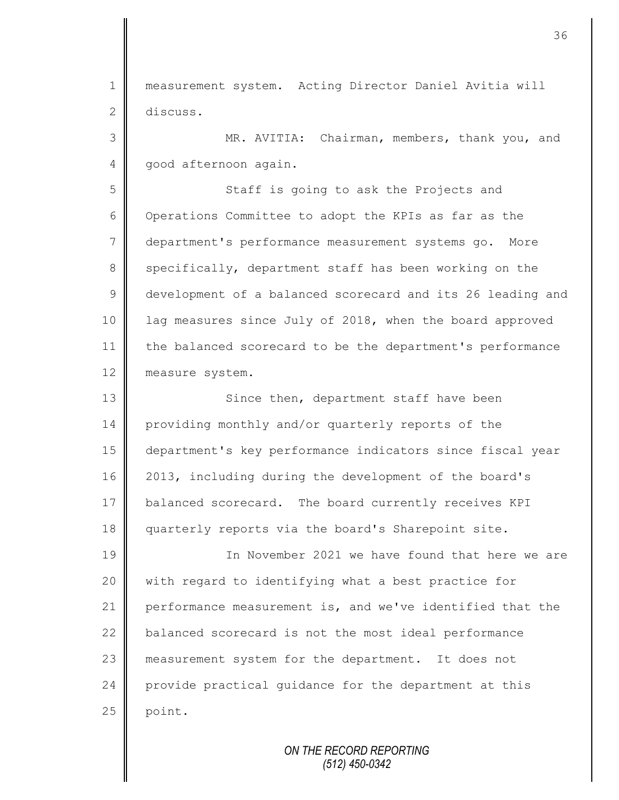1 measurement system. Acting Director Daniel Avitia will 2 discuss.

3 MR. AVITIA: Chairman, members, thank you, and 4 | good afternoon again.

5 || Staff is going to ask the Projects and 6 Operations Committee to adopt the KPIs as far as the 7 department's performance measurement systems go. More 8 specifically, department staff has been working on the 9 development of a balanced scorecard and its 26 leading and 10 | lag measures since July of 2018, when the board approved 11 the balanced scorecard to be the department's performance 12 measure system.

13 || Since then, department staff have been 14 providing monthly and/or quarterly reports of the 15 department's key performance indicators since fiscal year 16 2013, including during the development of the board's 17 balanced scorecard. The board currently receives KPI 18 | quarterly reports via the board's Sharepoint site.

19 In November 2021 we have found that here we are 20 | with regard to identifying what a best practice for 21 performance measurement is, and we've identified that the 22 balanced scorecard is not the most ideal performance 23 measurement system for the department. It does not 24 provide practical quidance for the department at this  $25$  point.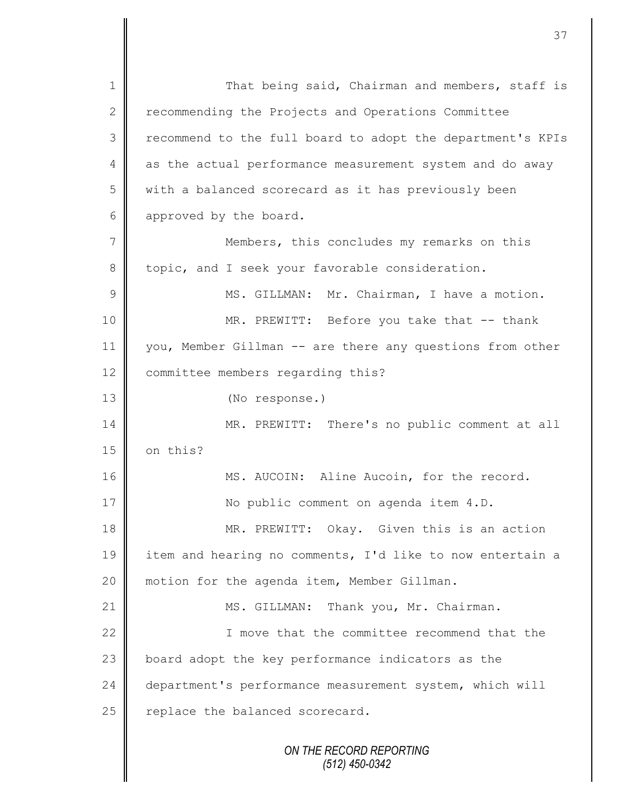*ON THE RECORD REPORTING (512) 450-0342* 1 || That being said, Chairman and members, staff is 2 recommending the Projects and Operations Committee 3 || recommend to the full board to adopt the department's KPIs 4 as the actual performance measurement system and do away  $5 \parallel$  with a balanced scorecard as it has previously been 6 approved by the board. 7 || Members, this concludes my remarks on this 8 | topic, and I seek your favorable consideration. 9 || MS. GILLMAN: Mr. Chairman, I have a motion. 10 || MR. PREWITT: Before you take that -- thank 11 you, Member Gillman -- are there any questions from other 12 | committee members regarding this? 13 (No response.) 14 MR. PREWITT: There's no public comment at all  $15$  on this? 16 || MS. AUCOIN: Aline Aucoin, for the record. 17 | No public comment on agenda item 4.D. 18 MR. PREWITT: Okay. Given this is an action 19 item and hearing no comments, I'd like to now entertain a 20 | motion for the agenda item, Member Gillman. 21 | MS. GILLMAN: Thank you, Mr. Chairman. 22 I move that the committee recommend that the 23 | board adopt the key performance indicators as the 24 department's performance measurement system, which will  $25$  replace the balanced scorecard.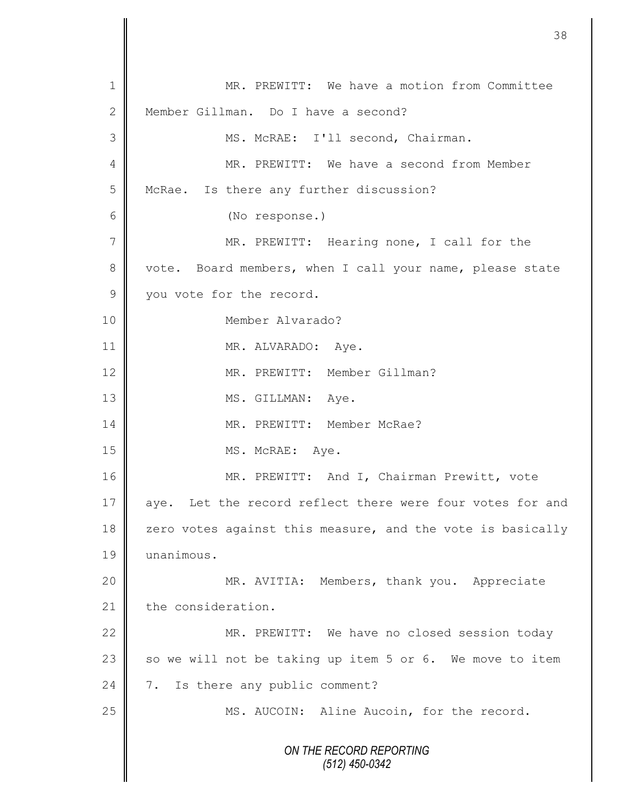*ON THE RECORD REPORTING (512) 450-0342* 1 || MR. PREWITT: We have a motion from Committee 2 Member Gillman. Do I have a second? 3 | MS. McRAE: I'll second, Chairman. 4 MR. PREWITT: We have a second from Member 5 McRae. Is there any further discussion? 6 (No response.) 7 | MR. PREWITT: Hearing none, I call for the 8 vote. Board members, when I call your name, please state 9 vou vote for the record. 10 Member Alvarado? 11 | MR. ALVARADO: Aye. 12 | MR. PREWITT: Member Gillman? 13 || MS. GILLMAN: Aye. 14 MR. PREWITT: Member McRae? 15 MS. McRAE: Aye. 16 || MR. PREWITT: And I, Chairman Prewitt, vote 17 aye. Let the record reflect there were four votes for and 18  $\parallel$  zero votes against this measure, and the vote is basically 19 unanimous. 20 MR. AVITIA: Members, thank you. Appreciate  $21$   $\parallel$  the consideration. 22 | MR. PREWITT: We have no closed session today 23  $\parallel$  so we will not be taking up item 5 or 6. We move to item 24 7. Is there any public comment? 25 | MS. AUCOIN: Aline Aucoin, for the record.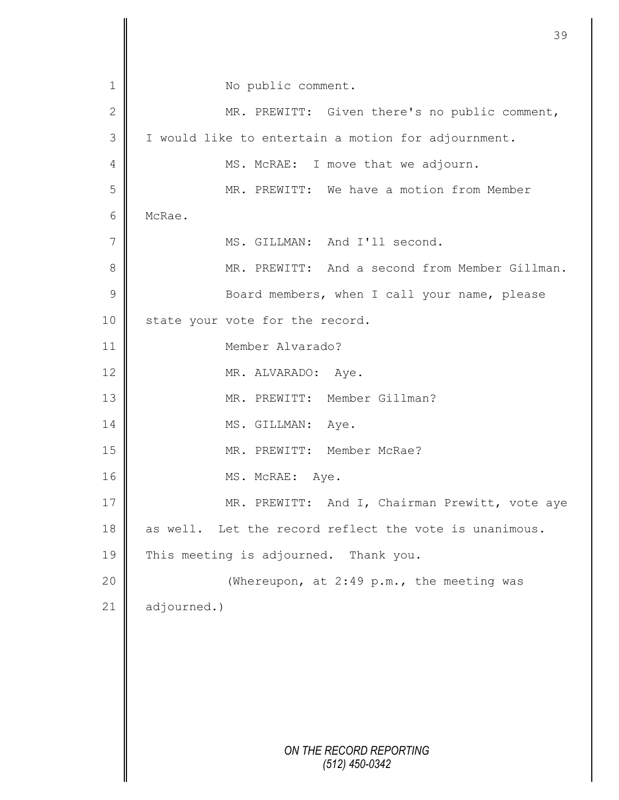*ON THE RECORD REPORTING (512) 450-0342* 1 || No public comment. 2 MR. PREWITT: Given there's no public comment, 3 | I would like to entertain a motion for adjournment. 4 MS. McRAE: I move that we adjourn. 5 MR. PREWITT: We have a motion from Member 6 McRae. 7 | MS. GILLMAN: And I'll second. 8 **MR. PREWITT:** And a second from Member Gillman. 9 || Board members, when I call your name, please 10 state your vote for the record. 11 Member Alvarado? 12 || MR. ALVARADO: Aye. 13 || MR. PREWITT: Member Gillman? 14 MS. GILLMAN: Aye. 15 || MR. PREWITT: Member McRae? 16 MS. McRAE: Aye. 17 | MR. PREWITT: And I, Chairman Prewitt, vote aye 18 as well. Let the record reflect the vote is unanimous. 19 This meeting is adjourned. Thank you. 20 || (Whereupon, at 2:49 p.m., the meeting was 21 adjourned.)